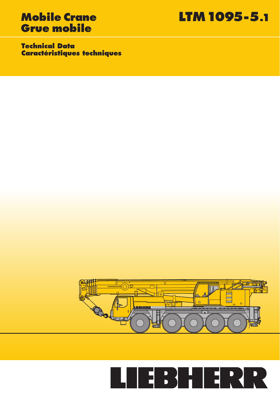# **Grue mobile**

**Mobile Crane LTM 1095-5.1**

**Technical Data Caractéristiques techniques**



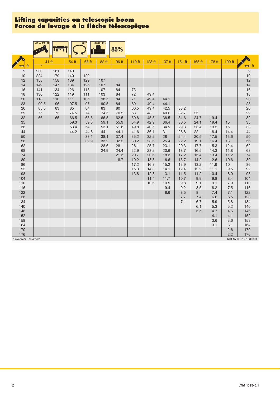## **Lifting capacities on telescopic boom Forces de levage à la fl èche télescopique**

|                        | $41 - 190$ ft |           |             | 360°      | 50700 lbs    | 85%      |          |              |              |             |            |            |            |                       |
|------------------------|---------------|-----------|-------------|-----------|--------------|----------|----------|--------------|--------------|-------------|------------|------------|------------|-----------------------|
|                        |               |           |             |           |              |          |          |              |              |             |            |            |            |                       |
|                        |               | 41 ft     | 54 ft       | 68 ft     | 82 ft        | 96 ft    | 110 ft   | 123 ft       | $137$ ft     | $151$ ft    | 165 ft     | 178 ft     | 190 ft     |                       |
|                        |               |           |             |           |              |          |          |              |              |             |            |            |            | ft<br>➡               |
| 9                      | 230           | 181       | 140         |           |              |          |          |              |              |             |            |            |            | $\boldsymbol{9}$      |
| $10$                   | 224           | 179       | 140         | 129       |              |          |          |              |              |             |            |            |            | 10                    |
| 12                     | 158           | 158       | 139         | 129       | 107          |          |          |              |              |             |            |            |            | 12                    |
| 14                     | 149           | 147       | 134         | 125       | 107          | 84       |          |              |              |             |            |            |            | 14                    |
| 16                     | 141           | 134       | 126         | 118       | 107          | 84       | 73       |              |              |             |            |            |            | 16                    |
| 18                     | 130           | 122       | 119         | 111       | 103          | 84       | 72       | 49.4         |              |             |            |            |            | 18                    |
| $20\,$<br>23           | 118<br>99.5   | 110<br>96 | 111<br>97.5 | 105<br>97 | 98.5<br>90.5 | 84<br>84 | 71<br>69 | 49.4<br>49.4 | 44.1<br>44.1 |             |            |            |            | 20<br>23              |
| 26                     | 85.5          | 83        | 85          | 84        | 83           | 80       | 66.5     | 49.4         | 42.5         | 33.2        |            |            |            | 26                    |
| 29                     | 75            | 73        | 74.5        | 74        | 74.5         | 70.5     | 63       | 48           | 40.6         | 32.7        | 25         |            |            | 29                    |
| 32                     | 66            | 65        | 66.5        | 65.5      | 66.5         | 62.5     | 59.8     | 45.5         | 38.5         | 31.6        | 24.7       | 19.4       |            | 32                    |
| 35                     |               |           | 59.3        | 59.5      | 59.1         | 55.9     | 54.9     | 42.9         | 36.4         | 30.5        | 24.1       | 19.4       | 15         | 35                    |
| 38                     |               |           | 53.4        | 54        | 53.1         | 51.8     | 49.8     | 40.5         | 34.5         | 29.3        | 23.4       | 19.2       | 15         | 38                    |
| 44                     |               |           | 44.2        | 44.8      | 44           | 44.1     | 41.6     | 36.1         | 31           | 26.8        | 22         | 18.4       | 14.4       | 44                    |
| 50                     |               |           |             | 38.1      | 38.1         | 37.4     | 35.2     | 32.2         | 28           | 24.4        | 20.5       | 17.5       | 13.6       | 50                    |
| 56                     |               |           |             | 32.9      | 33.2         | 32.2     | 30.2     | 28.6         | 25.4         | 22.2        | 19.1       | 16.4       | 13         | 56                    |
| 62                     |               |           |             |           | 28.6         | 28       | 26.1     | 25.7         | 23.1         | 20.3        | 17.7       | 15.3       | 12.4       | 62                    |
| 68                     |               |           |             |           | 24.9         | 24.4     | 22.9     | 23.2         | 20.6         | 18.7        | 16.5       | 14.3       | 11.8       | 68                    |
| 74                     |               |           |             |           |              | 21.3     | 20.7     | 20.6         | 18.2         | 17.2        | 15.4       | 13.4       | 11.2       | 74                    |
| 80                     |               |           |             |           |              | 18.7     | 19.2     | 18.3         | 16.6         | 15.7        | 14.2       | 12.6       | 10.6       | 80                    |
| 86                     |               |           |             |           |              |          | 17.2     | 16.3         | 15.2         | 13.9        | 13.2       | 11.9       | 10         | 86                    |
| 92                     |               |           |             |           |              |          | 15.3     | 14.3         | 14.1         | 12.4        | 12.2       | 11.1       | 9.5        | 92                    |
| 98                     |               |           |             |           |              |          | 13.8     | 12.8         | 13.1         | 11.5        | 11.2       | 10.4       | 8.9        | 98                    |
| 104<br>110             |               |           |             |           |              |          |          | 11.4<br>10.6 | 11.7<br>10.5 | 10.7<br>9.8 | 9.9<br>9.1 | 9.8<br>9.1 | 8.4<br>7.9 | 104<br>110            |
| 116                    |               |           |             |           |              |          |          |              | 9.4          | 9.2         | 8.5        | 8.2        | 7.5        | 116                   |
| 122                    |               |           |             |           |              |          |          |              | 8.6          | 8.5         | 8          | 7.4        | 7.1        | 122                   |
| 128                    |               |           |             |           |              |          |          |              |              | 7.7         | 7.4        | 6.6        | 6.5        | 128                   |
| 134                    |               |           |             |           |              |          |          |              |              | 7.1         | 6.7        | 5.9        | 5.8        | 134                   |
| 140                    |               |           |             |           |              |          |          |              |              |             | 6.1        | 5.3        | 5.2        | 140                   |
| 146                    |               |           |             |           |              |          |          |              |              |             | 5.5        | 4.7        | 4.6        | 146                   |
| 152                    |               |           |             |           |              |          |          |              |              |             |            | 4.1        | 4.1        | 152                   |
| 158                    |               |           |             |           |              |          |          |              |              |             |            | 3.6        | 3.6        | 158                   |
| 164                    |               |           |             |           |              |          |          |              |              |             |            | 3.1        | 3.1        | 164                   |
| 170                    |               |           |             |           |              |          |          |              |              |             |            |            | 2.6        | 170                   |
| 176                    |               |           |             |           |              |          |          |              |              |             |            |            | 2.2        | 176                   |
| over rear · en arrière |               |           |             |           |              |          |          |              |              |             |            |            |            | TAB 1580301 / 1580391 |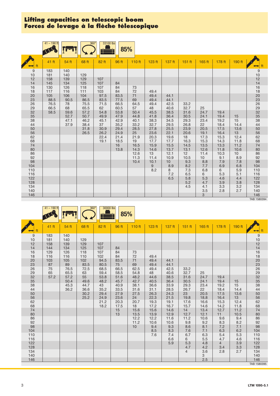## **Lifting capacities on telescopic boom** Forces de levage à la flèche télescopique

|            | $41 - 190$ ft |              | $360^\circ$  | 33100 lbs    | 85%          |              |              |              |              |              |              |              |                                                                                                                                                                               |
|------------|---------------|--------------|--------------|--------------|--------------|--------------|--------------|--------------|--------------|--------------|--------------|--------------|-------------------------------------------------------------------------------------------------------------------------------------------------------------------------------|
|            |               |              |              |              |              |              |              |              |              |              |              |              |                                                                                                                                                                               |
|            | 41 ft         | 54 ft        | 68 ft        | 82 ft        | 96 ft        | 110 ft       | 123 ft       | 137 ft       | 151 ft       | 165 ft       | 178 ft       | 190 ft       |                                                                                                                                                                               |
| 9<br>10    | 183<br>181    | 140<br>140   | 129          |              |              |              |              |              |              |              |              |              |                                                                                                                                                                               |
| 12<br>14   | 158<br>145    | 139<br>134   | 129<br>125   | 107<br>107   | 84           |              |              |              |              |              |              |              |                                                                                                                                                                               |
| 16<br>18   | 130<br>117    | 126<br>116   | 118<br>111   | 107<br>103   | 84<br>84     | 73<br>72     | 49.4         |              |              |              |              |              |                                                                                                                                                                               |
| 20<br>23   | 105<br>88.5   | 106<br>90.5  | 104<br>86.5  | 97.5<br>83.5 | 83.5<br>77.5 | 71<br>69     | 49.4<br>49.4 | 44.1<br>44.1 |              |              |              |              |                                                                                                                                                                               |
| 26<br>29   | 76.5<br>66.5  | 78<br>68     | 75.5<br>65.5 | 71.5<br>62   | 66.5<br>60.5 | 64.5<br>57   | 49.4<br>48   | 42.5<br>40.6 | 33.2<br>32.7 | 25           |              |              |                                                                                                                                                                               |
| 32<br>35   | 58.5          | 59.6<br>52.7 | 57.2<br>50.7 | 54.8<br>49.9 | 53.8<br>47.9 | 50.4<br>44.8 | 45.5<br>41.8 | 38.5<br>36.4 | 31.6<br>30.5 | 24.7<br>24.1 | 19.4<br>19.4 | 15           |                                                                                                                                                                               |
| 38<br>44   |               | 47.1<br>37.9 | 46.2<br>38.4 | 45.1<br>37   | 42.9<br>35.2 | 40.1<br>33.2 | 38.3<br>32.7 | 34.5<br>29.5 | 29.3<br>26.8 | 23.4<br>22   | 19.2<br>18.4 | 15<br>14.4   | 9<br>10<br>2<br>4<br>4<br>6<br>2<br>2<br>3<br>6<br>2<br>3<br>3<br>3<br>3<br>3<br>3<br>6<br>2<br>6<br>2<br>9<br>8<br>9<br>3<br>9<br>8<br>9<br>98<br>98<br>98<br>98<br>98<br>98 |
| 50<br>56   |               |              | 31.8<br>26.5 | 30.9<br>26.2 | 29.4<br>24.9 | 28.5<br>25   | 27.8<br>23.6 | 25.5<br>22.1 | 23.9<br>20.6 | 20.5<br>19.1 | 17.5<br>16.4 | 13.6<br>13   |                                                                                                                                                                               |
| 62<br>68   |               |              |              | 22.4<br>19.1 | 21.4<br>18.5 | 21.9<br>19   | 20.3<br>17.7 | 19.6<br>17.7 | 18<br>16.3   | 17.3<br>15.3 | 15.3<br>14.3 | 12.4<br>11.8 |                                                                                                                                                                               |
| 74<br>80   |               |              |              |              | 16<br>13.8   | 16.5<br>14.3 | 15.9<br>14.6 | 15.5<br>13.7 | 14.5<br>13.1 | 13.5<br>12.6 | 13.3<br>11.8 | 11.2<br>10.6 |                                                                                                                                                                               |
| 86<br>92   |               |              |              |              |              | 12.6<br>11.3 | 13<br>11.4   | 12.1<br>10.9 | 12<br>10.5   | 11.4<br>10   | 10.3<br>9.1  | 10<br>8.9    |                                                                                                                                                                               |
| 98<br>104  |               |              |              |              |              | 10.4         | 10.1<br>9    | 10<br>8.9    | 9.3<br>8.2   | 8.8<br>7.7   | 7.9<br>6.9   | 7.8<br>6.8   | 104                                                                                                                                                                           |
| 110<br>116 |               |              |              |              |              |              | 8.2          | 8<br>7.2     | 7.3<br>6.5   | 6.8<br>6     | 6<br>5.3     | 5.9<br>5.1   | $110$<br>116                                                                                                                                                                  |
| 122<br>128 |               |              |              |              |              |              |              | 6.5          | 5.8<br>5.2   | 5.3<br>4.7   | 4.6<br>3.9   | 4.4<br>3.8   | $122$<br>128                                                                                                                                                                  |
| 134<br>140 |               |              |              |              |              |              |              |              | 4.5          | 4.1<br>3.5   | 3.3<br>2.8   | 3.2<br>2.7   | 134<br>140                                                                                                                                                                    |
| 146        |               |              |              |              |              |              |              |              |              | 3            |              |              | 146<br>TAB 1580394                                                                                                                                                            |

 $\frac{41-190 \text{ ft}}{1}$   $\frac{360^\circ}{1}$   $\frac{360^\circ}{1}$   $\frac{30000 \text{ lb}}{1}$ **Time 85%** E ╪ A p 41 ft | 54 ft | 68 ft | 82 ft | 96 ft | 110 ft | 123 ft | 137 ft | 151 ft | 165 ft | 178 ft | 190 ft ft ft 9 183 140 9 10 181 140 129 | | | | | | | | | | | | 10 12 | 158 | 139 | 129 | 107 | | | | | | | | | | | | | | | | | | 12 14 | 144 | 134 | 125 | 107 | 84 | | | | | | | | | | | | | | | | 14 16 129 126 118 107 84 73 16 18 | 116 | 110 | 102 | 84 | 72 | 49.4 | | | | | | 18 20 103 105 102 94.5 83.5 71 49.4 44.1 20 23 87 89 83.5 80.5 75 69 49.4 44.1 23 26 | 75 | 76.5 | 72.5 | 68.5 | 66.5 | 62.5 | 49.4 | 42.5 | 33.2 | | | | 26 29 | 65 | 65.5 | 63 | 59.4 | 58.5 | 54.8 | 48 | 40.6 | 32.7 | 25 | | | | | | | | | 29 32 | 57.2 | 57.2 | 55 | 53.8 | 51.6 | 48.2 | 44.6 | 38.5 | 31.6 | 24.7 | 19.4 | | 32 35 | | 50.4 | 49.6 | 48.2 | 45.7 | 42.7 | 40.5 | 36.4 | 30.5 | 24.1 | 19.4 | 15 | 35 38 | | | 45.3 | 44.7 | 43 | 40.9 | 38.1 | 36.6 | 33.9 | 29.3 | 23.4 | 19.2 | 15 | 38 44 | | 36.2 | 36.6 | 35.2 | 33.5 | 31.6 | 31.1 | 28.5 | 26.7 | 22 | 18.4 | 14.4 | 44 50 30.2 29.4 27.9 27.5 26.3 24.3 23 20.5 17.5 13.6 50 56 25.2 24.9 23.6 24 22.3 21.5 19.8 18.8 16.4 13 56 62 21.2 20.3 20.7 19.3 19.1 17.6 16.6 15.3 12.4 62 68 18.2 17.5 18 17.2 16.7 15.7 14.6 14.2 11.8 68 74 | | | | | | 15 | 15.6 | 15.6 | 14.6 | 14 | 13.4 | 12.7 | 11.2 | 74 80 | | | | | | | 13 | 13.5 | 13.9 | 12.9 | 12.7 | 12.1 | 11 | 10.5 | 80 86 | | | | | | | 12.2 | 12.2 | 11.6 | 11.2 | 10.6 | 9.6 | 9.4 | 86 92 11.2 10.6 10.6 9.8 9.2 8.3 8.2 92 98 | | | | | | | 10 | 9.4 | 9.3 | 8.6 | 8.1 | 7.2 | 7.1 | 98 104 | | | | | | | 8.5 | 8.3 | 7.6 | 7.1 | 6.3 | 6.2 | 104 110 7.6 7.4 6.7 6.3 5.4 5.3 110 116 | | | | | | | | 6.6 | 6 | 5.5 | 4.7 | 4.6 | 116 122 | | | | | | | | 5.9 | 5.3 | 4.8 | 4 | 3.9 | 122 128 | | | | | | | | | | | | 4.7 | 4.2 | 3.4 | 3.3 | 128 134 4 3.6 2.8 2.7 134 140 3 140 146 2.5 146 TAB 1580395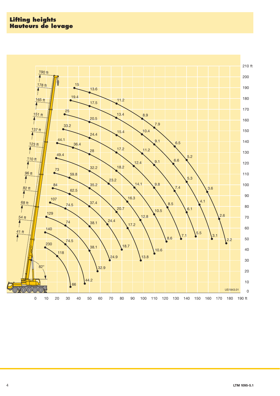## **Lifting heights Hauteurs de levage**

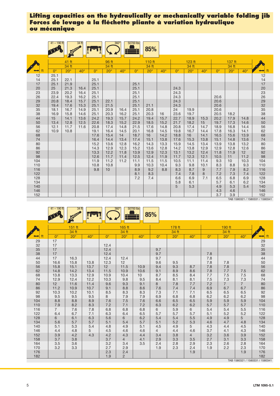|            | $41 - 190$ ft |              | 34 ft        |                  |              | $360^\circ$  | 50700 lbs        | 85%          |              |                  |              |              |              |              |              |                                        |
|------------|---------------|--------------|--------------|------------------|--------------|--------------|------------------|--------------|--------------|------------------|--------------|--------------|--------------|--------------|--------------|----------------------------------------|
|            |               |              |              |                  |              |              |                  |              |              |                  |              |              |              |              |              |                                        |
|            |               | 41 ft        |              |                  | 96 ft        |              |                  | 110 ft       |              |                  | 123 ft       |              |              | 137 ft       |              |                                        |
|            |               | 34 ft        |              |                  | 34 ft        |              |                  | 34 ft        |              |                  | 34 ft        |              |              | 34 ft        |              |                                        |
|            | $0^{\circ}$   | $20^\circ$   | $40^\circ$   | $\Omega^{\circ}$ | $20^\circ$   | $40^\circ$   | $\Omega^{\circ}$ | $20^\circ$   | $40^{\circ}$ | $\Omega^{\circ}$ | $20^\circ$   | $40^{\circ}$ | $0^{\circ}$  | $20^\circ$   | $40^{\circ}$ | ft<br>⇔                                |
| 12<br>14   | 25.1<br>25.1  | 22.1         |              | 25.1             |              |              |                  |              |              |                  |              |              |              |              |              | 12<br>14                               |
| 17<br>20   | 25.1<br>25    | 21.9<br>21.3 | 16.4         | 25.1<br>25.1     |              |              | 25.1<br>25.1     |              |              | 24.3             |              |              |              |              |              | 17                                     |
| 23<br>26   | 23.9<br>22.4  | 20.2<br>19.3 | 16.4<br>16.2 | 25.1<br>25.1     |              |              | 25.1<br>25.1     |              |              | 24.3<br>24.3     |              |              | 20.6         |              |              |                                        |
| 29<br>32   | 20.8<br>19.4  | 18.4<br>17.6 | 15.7<br>15.3 | 25.1<br>25.1     | 22.1<br>21.5 |              | 25.1<br>25.1     | 21.1         |              | 24.3<br>24.3     |              |              | 20.6<br>20.6 |              |              |                                        |
| 35<br>38   | 18.1<br>16.9  | 16.7<br>15.8 | 14.9<br>14.6 | 25.1<br>25.1     | 20.9<br>20.3 | 16.4<br>16.2 | 25.1<br>25.1     | 20.8<br>20.3 | 16           | 24<br>23.6       | 19.9<br>19.7 |              | 20.6<br>20.5 | 18.2         |              | 20<br>23<br>26<br>29<br>32<br>35<br>38 |
| 44<br>50   | 15<br>13.4    | 14.1<br>12.8 | 13.6<br>12.5 | 24.2<br>22.6     | 19.3<br>18.3 | 15.7<br>15.2 | 24.2<br>22.9     | 19.4<br>18.5 | 15.7<br>15.2 | 22.7<br>21.7     | 18.9<br>18.2 | 15.3<br>15   | 20.2<br>19.7 | 17.9<br>17.3 | 14.8<br>14.6 | 44<br>50                               |
| 56<br>62   | 12.1<br>10.9  | 11.7<br>10.8 | 11.6         | 20.8<br>19.1     | 17.4<br>16.4 | 14.8<br>14.5 | 21.5<br>20.1     | 17.6<br>16.8 | 14.8<br>14.5 | 20.8<br>19.8     | 17.4<br>16.7 | 14.7<br>14.4 | 18.9<br>17.8 | 16.8<br>16.3 | 14.4<br>14.1 | 56<br>62                               |
| 68<br>74   |               |              |              | 17.6<br>16.4     | 15.4<br>14.4 | 14<br>13.4   | 18.7<br>17.4     | 16<br>15.1   | 14.2<br>13.8 | 18.8<br>17.6     | 16<br>15.3   | 14.1<br>13.8 | 16.5<br>15.1 | 15.6<br>14.8 | 13.9<br>13.6 | 68<br>74                               |
| 80<br>86   |               |              |              | 15.2<br>14.3     | 13.6<br>12.9 | 12.8<br>12.3 | 16.2<br>15.2     | 14.3<br>13.6 | 13.3<br>12.8 | 15.9<br>14.2     | 14.5<br>13.8 | 13.4<br>12.9 | 13.9<br>12.9 | 13.8<br>12.8 | 13.2<br>12.6 | 80<br>86                               |
| 92<br>98   |               |              |              | 13.3<br>12.6     | 12.2<br>11.7 | 11.8<br>11.4 | 13.9<br>12.5     | 12.9<br>12.4 | 12.3<br>11.9 | 13.1<br>11.7     | 13.2<br>12.3 | 12.4<br>12.1 | 11.8<br>10.5 | 11.9<br>11   | 12<br>11.2   | 92<br>98                               |
| 104<br>110 |               |              |              | 11.9<br>10.8     | 11.2<br>10.8 | 11.2         | 11.1<br>9.9      | 11.5<br>10.3 | 11.5<br>10.4 | 10.5<br>9.3      | 11.1<br>9.8  | 11.4<br>10.1 | 9.3<br>8.3   | 10<br>8.8    | 10.3<br>9.3  | 104<br>110                             |
| 116<br>122 |               |              |              | 9.8              | 10           |              | 8.9<br>8.1       | 9.2<br>8.3   | 8.8          | 8.3<br>7.4       | 8.7<br>7.8   | 9<br>8       | 7.7<br>7.2   | 7.9<br>7.3   | 8.2<br>7.4   | 116<br>122                             |
| 128<br>134 |               |              |              |                  |              |              | 7.2              | 7.4          |              | 6.6<br>5.8       | 6.9<br>6.1   | 7.1          | 6.5<br>5.7   | 6.8<br>6.1   | 6.9<br>6.2   | 128<br>134                             |
| 140        |               |              |              |                  |              |              |                  |              |              | 5                | 5.3          |              | 4.9          | 5.3          | 5.4          | 140                                    |
| 146<br>152 |               |              |              |                  |              |              |                  |              |              |                  |              |              | 4.3<br>3.7   | 4.6<br>3.9   |              | 146<br>152                             |

TAB 1580321 / 1580331 / 1580341

|          | $41 - 190$ ft  | 34 ft<br><b>READER</b> |              |             | $360^\circ$    | 50700 lbs    | 85%            |            |            |             |                       |                       |                                 |
|----------|----------------|------------------------|--------------|-------------|----------------|--------------|----------------|------------|------------|-------------|-----------------------|-----------------------|---------------------------------|
|          |                | 151 <sub>ft</sub>      |              |             | 165 ft         |              |                | 178 ft     |            |             | 190 ft                |                       |                                 |
|          |                | 34 ft                  |              |             | 34 ft          |              |                | 34 ft      |            |             | 34 ft                 |                       |                                 |
|          | $0^{\circ}$    | $20^\circ$             | $40^\circ$   | $0^{\circ}$ | $20^\circ$     | $40^{\circ}$ | $0^{\circ}$    | $20^\circ$ | $40^\circ$ | $0^{\circ}$ | $20^\circ$            | $40^{\circ}$          |                                 |
| 29       | 17             |                        |              |             |                |              |                |            |            |             |                       |                       |                                 |
| 32       | 17             |                        |              | 12.4        |                |              |                |            |            |             |                       |                       | 29<br>32<br>35<br>38            |
| 35       | 17             |                        |              | 12.4        |                |              | 9.7            |            |            |             |                       |                       |                                 |
| 38       | 17             |                        |              | 12.4        |                |              | 9.7            |            |            | 7.8         |                       |                       |                                 |
| 44       | 17             | 16.3                   |              | 12.4        | 12.4           |              | 9.7            |            |            | 7.8         |                       |                       | 44                              |
| 50       | 16.6           | 15.8                   | 13.8         | 12.3        | 12             |              | 9.6            | 9.5        |            | 7.8         | 7.8                   |                       | 50<br>56                        |
| 56       | 15.8           | 15.1                   | 13.7         | 12          | 11.5           | 10.9         | 9.4            | 9.3        | 8.7        | 7.8         | 7.8                   |                       |                                 |
| 62       | 14.8           | 14.2                   | 13.4         | 11.5        | 10.9           | 10.6         | 9.1            | 8.9        | 8.6        | 7.8         | 7.7                   | 7.5                   | 62                              |
| 68       | 13.8           | 13.3                   | 12.9         | 10.9        | 10.4           | 10           | 8.7            | 8.5        | 8.4        | 7.7         | 7.5                   | 7.5                   | 68                              |
| 74       | 12.9<br>12     | 12.4<br>11.6           | 12.2<br>11.4 | 10.3<br>9.6 | 9.8<br>9.3     | 9.5<br>9.1   | 8.4            | 8.1<br>7.8 | 8.1<br>7.7 | 7.5<br>7.2  | 7.3<br>$\overline{7}$ | 7.3<br>$\overline{7}$ | 74                              |
| 80<br>86 | 11.2           | 10.9                   | 10.7         | 9.1         | 8.8            | 8.6          | 8<br>7.6       | 7.4        | 7.4        | 6.9         | 6.7                   | 6.7                   | $80\,$<br>86                    |
| 92       | 10.3           | 10.2                   | 10.1         | 8.5         | 8.3            | 8.3          | 7.3            | 7.1        | 7.1        | 6.5         | 6.5                   | 6.5                   | 92                              |
| 98       | 9.5            | 9.5                    | 9.5          | 8           | 7.9            | 7.9          | 6.9            | 6.8        | 6.8        | 6.2         | 6.2                   | 6.2                   | 98                              |
| 104      | 8.8            | 8.8                    | 8.9          | 7.6         | 7.5            | 7.6          | 6.6            | 6.5        | 6.5        | 5.9         | 5.9                   | 5.9                   | 104                             |
| 110      | 7.9            | 8.2                    | 8.3          | 7.2         | 7.1            | 7.2          | 6.3            | 6.2        | 6.2        | 5.7         | 5.7                   | 5.7                   | 110                             |
| 116      | $\overline{7}$ | 7.6                    | 7.8          | 6.8         | 6.8            | 6.8          | 6              | 5.9        | 6          | 5.4         | 5.4                   | 5.5                   | 116                             |
| 122      | 6.4            | 6.7                    | 7.1          | 6.3         | 6.4            | 6.5          | 5.7            | 5.7        | 5.7        | 5.1         | 5.2                   | 5.2                   | 122                             |
| 128      | 6              | 6.1                    | 6.3          | 5.6         | 6              | 6.2          | 5.4            | 5.4        | 5.5        | 4.9         | 4.9                   | 5                     | 128                             |
| 134      | 5.6            | 5.7                    | 5.7          | 5.1         | 5.4            | 5.7          | 5.1            | 5.2        | 5.3        | 4.6         | 4.7                   | 4.8                   | 134                             |
| 140      | 5.1            | 5.3                    | 5.4          | 4.8         | 4.9            | 5.1          | 4.5            | 4.9        | 5          | 4.3         | 4.4                   | 4.5                   | 140                             |
| 146      | 4.4            | 4.8                    | 5            | 4.5         | 4.6            | 4.6          | $\overline{4}$ | 4.4        | 4.6        | 3.7         | 4.1                   | 4.3                   | 146                             |
| 152      | 3.9            | 4.2                    | 4.3          | 4.2         | 4.3            | 4.4          | 3.4            | 3.8        | 4          | 3.2         | 3.6                   | 3.9                   | 152                             |
| 158      | 3.7            | 3.8                    |              | 3.7         | $\overline{4}$ | 4.1          | 2.9            | 3.3        | 3.5        | 2.7         | 3.1                   | 3.3                   | 158                             |
| 164      | 3.5            | 3.6                    |              | 3.2         | 3.4            | 3.5          | 2.4            | 2.8        | 2.9        | 2.3         | 2.6                   | 2.8                   | 164                             |
| 170      | 3.2            | 3.3                    |              | 2.7         | 2.9            |              | 1.9            | 2.3        | 2.4        | 1.9         | 2.2                   | 2.3                   | 170                             |
| 176      |                |                        |              | 2.3         | 2.4            |              |                |            | 1.9        |             |                       | 1.9                   | 176                             |
| 182      |                |                        |              | 1.9         | $\overline{2}$ |              |                |            |            |             |                       |                       | 182                             |
|          |                |                        |              |             |                |              |                |            |            |             |                       |                       | TAB 1580321 / 1580331 / 1580341 |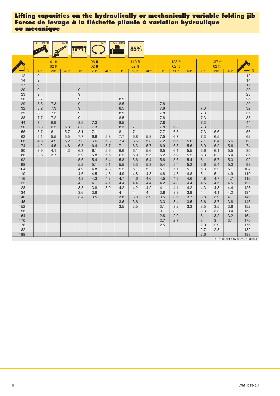|           | $41 - 190$ ft    |            | $62$ ft      |                                      |                | 360°       | 50700 lbs      | 85%            |                |                |            |              |                |            |                |                                        |
|-----------|------------------|------------|--------------|--------------------------------------|----------------|------------|----------------|----------------|----------------|----------------|------------|--------------|----------------|------------|----------------|----------------------------------------|
|           |                  | 41 ft      |              |                                      | 96 ft          |            |                | 110 ft         |                |                | 123 ft     |              |                | 137 ft     |                |                                        |
|           |                  | $62$ ft    |              |                                      | 62 ft          |            |                | 62 ft          |                |                | 62 ft      |              |                | 62 ft      |                |                                        |
|           | $0^{\circ}$      | $20^\circ$ | $40^{\circ}$ | $0^{\circ}$                          | $20^{\circ}$   | $40^\circ$ | $0^{\circ}$    | $20^\circ$     | $40^\circ$     | $0^{\circ}$    | $20^\circ$ | $40^{\circ}$ | $0^{\circ}$    | $20^\circ$ | $40^{\circ}$   | ft                                     |
| 12        | 9                |            |              |                                      |                |            |                |                |                |                |            |              |                |            |                | 12                                     |
| 14        | 9                |            |              |                                      |                |            |                |                |                |                |            |              |                |            |                | 14                                     |
| 17        | 9                |            |              |                                      |                |            |                |                |                |                |            |              |                |            |                | 17                                     |
| 20        | $\boldsymbol{9}$ |            |              | $\boldsymbol{9}$                     |                |            |                |                |                |                |            |              |                |            |                | 20                                     |
| 23<br>26  | 9<br>8.7         |            |              | $\boldsymbol{9}$<br>$\boldsymbol{9}$ |                |            | 8.5            |                |                |                |            |              |                |            |                | 23<br>26<br>29                         |
| 29        | 8.5              | 7.3        |              | $\hbox{9}$                           |                |            | 8.5            |                |                | 7.8            |            |              |                |            |                |                                        |
| 32        | 8.2              | 7.3        |              | $\boldsymbol{9}$                     |                |            | 8.5            |                |                | 7.8            |            |              | 7.3            |            |                |                                        |
| 35        | 8                | 7.3        |              | $9\,$                                |                |            | 8.5            |                |                | 7.8            |            |              | 7.3            |            |                | 32<br>35<br>38<br>44                   |
| 38        | 7.7              | 7.2        |              | $9\,$                                |                |            | 8.5            |                |                | 7.8            |            |              | 7.3            |            |                |                                        |
| 44        | $\overline{7}$   | 6.9        |              | 8.5                                  | 7.3            |            | 8.5            |                |                | 7.8            |            |              | $7.3$          |            |                |                                        |
| 50        | 6.3              | 6.5        | 5.8          | 8.3                                  | 7.3            |            | 8.3            | $\overline{7}$ |                | 7.8            | 6.8        |              | 7.3            |            |                | 50                                     |
| 56        | 5.7              | 6          | 5.7          | 8.1                                  | 7.1            |            | 8              | $\overline{7}$ |                | 7.7            | 6.8        |              | 7.3            | 6.6        |                | 56                                     |
| 62        | 5.1              | 5.5        | 5.5          | 7.7                                  | 6.9            | 5.8        | 7.7            | 6.8            | 5.8            | 7.5            | 6.7        |              | 7.3            | 6.5        |                | 62                                     |
| 68        | 4.6              | 4.9        | 5.2          | 7.3                                  | 6.6            | 5.8        | 7.4            | 6.6            | 5.8            | 7.2            | 6.5        | 5.6          | 7.1            | 6.4        | 5.6            | 68                                     |
| 74        | 4.2              | 4.5        | 4.8          | 6.8                                  | 6.4            | 5.7        | $7^{\circ}$    | 6.3            | 5.7            | 6.9            | 6.3        | 5.6          | 6.9            | 6.2        | 5.6            | 74                                     |
| 80        | 3.9              | 4.1        | 4.3          | 6.3                                  | 6.1            | 5.6        | 6.6            | 6.1            | 5.6            | 6.5            | 6.1        | 5.5          | 6.6            | 6.1        | 5.5            | 80                                     |
| 86        | 3.6              | 3.7        |              | 5.9                                  | 5.8            | 5.5        | 6.2            | 5.9            | 5.5            | 6.2            | 5.9        | 5.5          | 6.3            | 6          | 5.4            | 86                                     |
| 92        |                  |            |              | 5.6                                  | 5.4            | 5.4        | 5.8            | 5.6            | 5.4            | 5.8            | 5.6        | 5.4          | 6              | 5.7        | 5.3            | 92<br>98                               |
| 98<br>104 |                  |            |              | 5.2<br>4.9                           | 5.1<br>4.8     | 5.1<br>4.8 | 5.5<br>5.2     | 5.3<br>5.1     | 5.3<br>5       | 5.4<br>5.1     | 5.4<br>5.1 | 5.2<br>5     | 5.6<br>5.3     | 5.4<br>5.2 | 5.3<br>5.1     | 104                                    |
| 110       |                  |            |              | 4.6                                  | 4.5            | 4.6        | 4.9            | 4.8            | 4.8            | 4.8            | 4.8        | 4.8          | 5              | 5          | 4.9            | $110$                                  |
| 116       |                  |            |              | 4.3                                  | 4.3            | 4.3        | 4.7            | 4.6            | 4.6            | 4.5            | 4.6        | 4.6          | 4.8            | 4.7        | 4.7            | 116                                    |
| 122       |                  |            |              | $\overline{4}$                       | $\overline{4}$ | 4.1        | 4.4            | 4.4            | 4.4            | 4.2            | 4.3        | 4.4          | 4.5            | 4.5        | 4.5            | 122                                    |
| 128       |                  |            |              | 3.8                                  | 3.8            | 3.9        | 4.2            | 4.2            | 4.2            | $\overline{4}$ | 4.1        | 4.2          | 4.3            | 4.3        | 4.4            | 128                                    |
| 134       |                  |            |              | 3.6                                  | 3.6            |            | $\overline{4}$ | $\overline{4}$ | $\overline{4}$ | 3.8            | 3.8        | 3.9          | $\overline{4}$ | 4.1        | 4.2            | 134                                    |
| 140       |                  |            |              | 3.4                                  | 3.5            |            | 3.8            | 3.8            | 3.9            | 3.5            | 3.6        | 3.7          | 3.8            | 3.9        | $\overline{4}$ | 140                                    |
| 146       |                  |            |              |                                      |                |            | 3.6            | 3.6            |                | 3.3            | 3.4        | 3.5          | 3.6            | 3.7        | 3.8            | 146                                    |
| 152       |                  |            |              |                                      |                |            | 3.5            | 3.5            |                | 3.1            | 3.2        | 3.3          | 3.5            | 3.5        | 3.6            | 152                                    |
| 158       |                  |            |              |                                      |                |            |                |                |                | 3              | 3          |              | 3.3            | 3.3        | 3.4            | 158                                    |
| 164       |                  |            |              |                                      |                |            |                |                |                | 2.8            | 2.9        |              | 3.1            | 3.2        | 3.2            | 164                                    |
| 170       |                  |            |              |                                      |                |            |                |                |                | 2.7            | 2.7        |              | 3              | 3          | 3.1            | 170                                    |
| 176       |                  |            |              |                                      |                |            |                |                |                | 2.5            |            |              | 2.9            | 2.9        |                | 176                                    |
| 182       |                  |            |              |                                      |                |            |                |                |                |                |            |              | 2.7            | 2.8        |                | 182                                    |
| 188       |                  |            |              |                                      |                |            |                |                |                |                |            |              | 2.6            |            |                | 188<br>TAB 1580321 / 1580331 / 1580341 |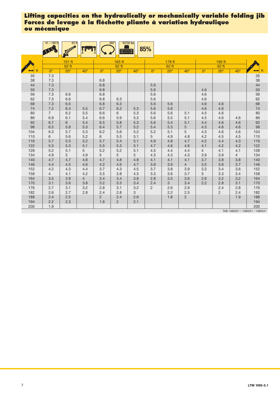|          | $41 - 190$ ft  | $62$ ft      |                |                | $360^\circ$    | 50700 lbs    | 85%            |              |                |                |                |                      |          |
|----------|----------------|--------------|----------------|----------------|----------------|--------------|----------------|--------------|----------------|----------------|----------------|----------------------|----------|
|          |                | 151 ft       |                |                | 165 ft         |              |                | 178 ft       |                |                | 190 ft         |                      |          |
|          |                | 62 ft        |                |                | 62 ft          |              |                | 62 ft        |                |                | 62 ft          |                      |          |
| ft<br>⊷  | $0^{\circ}$    | $20^{\circ}$ | $40^\circ$     | $0^{\circ}$    | $20^{\circ}$   | $40^{\circ}$ | $0^{\circ}$    | $20^{\circ}$ | $40^{\circ}$   | $0^{\circ}$    | $20^\circ$     | $40^{\circ}$         | ft       |
| 35       | 7.3            |              |                |                |                |              |                |              |                |                |                |                      | 35       |
| 38       | 7.3            |              |                | 6.8            |                |              |                |              |                |                |                |                      | 38       |
| 44       | 7.3            |              |                | 6.8            |                |              | 5.6            |              |                |                |                |                      | 44       |
| 50       | 7.3            |              |                | 6.8            |                |              | 5.6            |              |                | 4.6            |                |                      | 50       |
| 56       | 7.3            | 6.6          |                | 6.8            |                |              | 5.6            |              |                | 4.6            |                |                      | 56       |
| 62       | 7.3            | 6.6          |                | 6.8            | 6.3            |              | 5.6            |              |                | 4.6            |                |                      | 62       |
| 68       | 7.3            | 6.5          |                | 6.8            | 6.3            |              | 5.6            | 5.6          |                | 4.6            | 4.6            |                      | 68       |
| 74       | 7.2            | 6.4          | 5.5            | 6.7            | 6.2            | 5.3          | 5.6            | 5.6          |                | 4.6            | 4.6            |                      | 74       |
| 80<br>86 | $\overline{7}$ | 6.2<br>6.1   | 5.5            | 6.6            | 6              | 5.3<br>5.3   | 5.6            | 5.6<br>5.5   | 5.1<br>5.1     | 4.5            | 4.6            |                      | 80       |
| 92       | 6.9<br>6.7     | 6            | 5.4<br>5.4     | 6.6<br>6.5     | 5.9<br>5.8     | 5.3          | 5.6<br>5.6     | 5.4          | 5.1            | 4.5<br>4.4     | 4.6<br>4.6     | 4.6<br>4.6           | 86<br>92 |
| 98       | 6.5            | 5.8          | 5.3            | 6.4            | 5.7            | 5.2          | 5.4            | 5.3          | 5              | 4.3            | 4.6            | 4.6                  | 98       |
| 104      | 6.3            | 5.7          | 5.3            | 6.2            | 5.6            | 5.2          | 5.2            | 5.1          | 5              | 4.3            | 4.6            | 4.6                  | 104      |
| 110      | 6              | 5.6          | 5.2            | 6              | 5.5            | 5.1          | 5              | 4.9          | 4.8            | 4.2            | 4.5            | 4.5                  | 110      |
| 116      | 5.7            | 5.5          | 5.2            | 5.7            | 5.4            | 5.1          | 4.9            | 4.8          | 4.7            | 4.2            | 4.4            | 4.3                  | 116      |
| 122      | 5.5            | 5.3          | 5.1            | 5.5            | 5.3            | 5.1          | 4.7            | 4.6          | 4.6            | 4.1            | 4.2            | 4.2                  | 122      |
| 128      | 5.2            | 5.1          | 5              | 5.2            | 5.2            | 5.1          | 4.5            | 4.4          | 4.4            | $\overline{4}$ | 4.1            | 4.1                  | 128      |
| 134      | 4.9            | 5            | 4.9            | 5              | 5              | 5            | 4.3            | 4.3          | 4.3            | 3.9            | 3.9            | $\overline{4}$       | 134      |
| 140      | 4.7            | 4.7          | 4.8            | 4.7            | 4.8            | 4.8          | 4.1            | 4.1          | 4.1            | 3.7            | 3.8            | 3.8                  | 140      |
| 146      | 4.4            | 4.5          | 4.6            | 4.2            | 4.6            | 4.7          | 3.9            | 3.9          | $\overline{4}$ | 3.5            | 3.6            | 3.7                  | 146      |
| 152      | 4.2            | 4.3          | 4.4            | 3.7            | 4.3            | 4.5          | 3.7            | 3.8          | 3.9            | 3.3            | 3.4            | 3.6                  | 152      |
| 158      | $\overline{4}$ | 4.1          | 4.2            | 3.5            | 3.8            | 4.3          | 3.3            | 3.6          | 3.7            | 3              | 3.3            | 3.4                  | 158      |
| 164      | 3.5            | 3.9          | $\overline{4}$ | 3.4            | 3.4            | 3.8          | 2.8            | 3.5          | 3.6            | 2.6            | 3.2            | 3.2                  | 164      |
| 170      | 3.1            | 3.6          | 3.8            | 3.2            | 3.3            | 3.4          | 2.4            | $\mathbf{3}$ | 3.4            | 2.2            | 2.8            | 3.1                  | 170      |
| 176      | 2.7            | 3.1          | 3.2            | 2.8            | 3.1            | 3.2          | $\overline{2}$ | 2.6          | 2.9            |                | 2.4            | 2.8                  | 176      |
| 182      | 2.6            | 2.7          | 2.8            | 2.4            | 2.8            | 3            |                | 2.2          | 2.5            |                | $\overline{2}$ | 2.4                  | 182      |
| 188      | 2.4            | 2.5          |                | $\overline{c}$ | 2.4            | 2.6          |                | 1.8          | $\overline{c}$ |                |                | 1.9                  | 188      |
| 194      | 2.2            | 2.3          |                | 1.6            | $\overline{2}$ | 2.1          |                |              |                |                |                |                      | 194      |
| 200      | 1.9            |              |                |                |                |              |                |              |                |                |                | TAD ACODOOA (ACODOOA | 200      |

TAB 1580321 / 1580331 / 1580341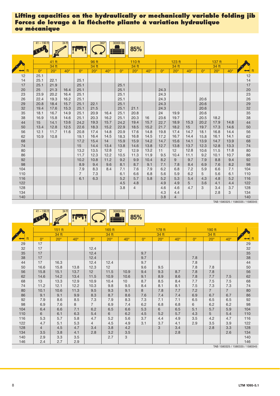|                   | $41 - 190$ ft |              | 34 ft        |                       |              | $360^\circ$  | 30000 lbs         | 85%               |              |                   |                   |                              |                 |                   |                   |                   |
|-------------------|---------------|--------------|--------------|-----------------------|--------------|--------------|-------------------|-------------------|--------------|-------------------|-------------------|------------------------------|-----------------|-------------------|-------------------|-------------------|
|                   |               | 41 ft        |              |                       | 96 ft        |              |                   | 110 ft            |              |                   | 123 ft            |                              |                 | 137 ft            |                   |                   |
|                   |               | 34 ft        |              |                       | 34 ft        |              |                   | 34 ft             |              |                   | 34 ft             |                              |                 | 34 ft             |                   |                   |
|                   | $0^{\circ}$   | $20^{\circ}$ | $40^\circ$   | $0^{\circ}$           | $20^\circ$   | $40^{\circ}$ | $\Omega^{\circ}$  | $20^\circ$        | $40^\circ$   | $0^{\circ}$       | $20^\circ$        | $40^\circ$                   | $0^{\circ}$     | $20^\circ$        | $40^{\circ}$      | ft                |
| 12<br>14          | 25.1<br>25.1  | 22.1         |              | 25.1                  |              |              |                   |                   |              |                   |                   |                              |                 |                   |                   | 12<br>14          |
| 17<br>20          | 25.1<br>25    | 21.9<br>21.3 | 16.4         | 25.1<br>25.1          |              |              | 25.1<br>25.1      |                   |              | 24.3              |                   |                              |                 |                   |                   | 17<br>20          |
| 23<br>26          | 23.9<br>22.4  | 20.2<br>19.3 | 16.4<br>16.2 | 25.1<br>25.1          |              |              | 25.1<br>25.1      |                   |              | 24.3<br>24.3      |                   |                              | 20.6            |                   |                   | 23<br>26          |
| 29<br>32          | 20.8<br>19.4  | 18.4<br>17.6 | 15.7<br>15.3 | 25.1<br>25.1          | 22.1<br>21.5 |              | 25.1<br>25.1      | 21.1              |              | 24.3<br>24.3      |                   |                              | 20.6<br>20.6    |                   |                   | 29<br>32          |
| 35<br>38          | 18.1<br>16.9  | 16.7<br>15.8 | 14.9<br>14.6 | 25.1<br>25.1          | 20.9<br>20.3 | 16.4<br>16.2 | 25.1<br>25.1      | 20.8<br>20.3      | 16           | 24<br>23.6        | 19.9<br>19.7      |                              | 20.6<br>20.5    | 18.2              |                   | 35<br>38          |
| 44<br>50          | 15<br>13.4    | 14.1         | 13.6         | 24.2                  | 19.3<br>18.3 | 15.7<br>15.2 | 24.2<br>22.9      | 19.4<br>18.5      | 15.7         | 22.7              | 18.9<br>18.2      | 15.3<br>15                   | 20.2<br>19.7    | 17.9<br>17.3      | 14.8              | 44                |
| 56                | 12.1          | 12.8<br>11.7 | 12.5<br>11.6 | 22.6<br>20.8          | 17.4         | 14.8         | 20.9              | 17.6              | 15.2<br>14.8 | 21.7<br>19.8      | 17.4              | 14.7                         | 18.1            | 16.8              | 14.6<br>14.4      | 50<br>56          |
| 62<br>68          | 10.9          | 10.8         |              | 19.1<br>17.2          | 16.4<br>15.4 | 14.5<br>14   | 18.3<br>15.9      | 16.8<br>15.9      | 14.5<br>14.2 | 17.2<br>14.7      | 16.7<br>15.6      | 14.4<br>14.1                 | 15.8<br>13.9    | 16.1<br>14.7      | 14.1<br>13.9      | 62<br>68          |
| 74<br>80          |               |              |              | 15<br>13.2            | 14.4<br>13.5 | 13.4<br>12.8 | 13.8<br>12        | 14.6<br>12.9      | 13.8<br>13.2 | 12.7<br>11        | 13.8<br>12        | 13.7<br>12.8                 | 12.3<br>10.6    | 12.8<br>11.5      | 13.3<br>11.8      | 74<br>$80\,$      |
| 86<br>92          |               |              |              | 11.7<br>10.2          | 12.3<br>10.8 | 12.2<br>11.2 | 10.5<br>9.2       | 11.3<br>9.9       | 11.9<br>10.4 | 9.5<br>8.2        | 10.4<br>9         | 11.1<br>9.7                  | 9.2<br>7.9      | 10.1<br>8.8       | 10.7<br>9.4       | 86<br>92          |
| 98<br>104         |               |              |              | 8.9<br>7.9            | 9.4<br>8.3   | 9.6<br>8.4   | 8.1<br>7.1        | 8.7<br>7.6        | 9.1<br>7.9   | 7.1<br>6.2        | 7.8<br>6.8        | 8.4<br>7.2                   | 6.9<br>5.9      | 7.6<br>6.6        | 8.2<br>7.1        | 98<br>104         |
| 110<br>116<br>122 |               |              |              | $\overline{7}$<br>6.1 | 7.3<br>6.3   |              | 6.1<br>5.2<br>4.5 | 6.6<br>5.7<br>4.8 | 6.8<br>5.8   | 5.6<br>5.2<br>4.9 | 5.9<br>5.3<br>4.9 | 6.2<br>5.4<br>5 <sup>5</sup> | 5<br>4.3<br>3.6 | 5.6<br>4.8<br>4.1 | 6.1<br>5.2<br>4.4 | 110<br>116<br>122 |
| 128<br>134        |               |              |              |                       |              |              | 3.8               | $\overline{4}$    |              | 4.6<br>4.3        | 4.6<br>4.4        | 4.7                          | 3               | 3.4<br>2.8        | 3.7<br>3          | 128<br>134        |
| 140               |               |              |              |                       |              |              |                   |                   |              | 3.8               | $\overline{4}$    |                              |                 |                   |                   | 140               |

TAB 1580325 / 1580335 / 1580345

|     | $41 - 190$ ft | $34$ ft    |            |                | $360^\circ$  | 30000 lbs    | 85%         |              |              |             |                |                |                     |
|-----|---------------|------------|------------|----------------|--------------|--------------|-------------|--------------|--------------|-------------|----------------|----------------|---------------------|
|     |               |            |            |                |              |              |             |              |              |             |                |                |                     |
|     |               | 151 ft     |            |                | 165 ft       |              |             | 178 ft       |              |             | 190 ft         |                |                     |
|     |               | 34 ft      |            |                | 34 ft        |              |             | 34 ft        |              |             | 34 ft          |                |                     |
| ft  | $0^{\circ}$   | $20^\circ$ | $40^\circ$ | $0^{\circ}$    | $20^{\circ}$ | $40^{\circ}$ | $0^{\circ}$ | $20^{\circ}$ | $40^{\circ}$ | $0^{\circ}$ | $20^{\circ}$   | $40^{\circ}$   | ft<br>$\rightarrow$ |
| 29  | 17            |            |            |                |              |              |             |              |              |             |                |                | 29                  |
| 32  | 17            |            |            | 12.4           |              |              |             |              |              |             |                |                | 32                  |
| 35  | 17            |            |            | 12.4           |              |              | 9.7         |              |              |             |                |                | 35                  |
| 38  | 17            |            |            | 12.4           |              |              | 9.7         |              |              | 7.8         |                |                | 38                  |
| 44  | 17            | 16.3       |            | 12.4           | 12.4         |              | 9.7         |              |              | 7.8         |                |                | 44                  |
| 50  | 16.6          | 15.8       | 13.8       | 12.3           | 12           |              | 9.6         | 9.5          |              | 7.8         | 7.8            |                | 50                  |
| 56  | 15.8          | 15.1       | 13.7       | 12             | 11.5         | 10.9         | 9.4         | 9.3          | 8.7          | 7.8         | 7.8            |                | 56                  |
| 62  | 14.6          | 14.2       | 13.4       | 11.5           | 10.9         | 10.6         | 9.1         | 8.9          | 8.6          | 7.8         | 7.7            | 7.5            | 62                  |
| 68  | 13            | 13.3       | 12.9       | 10.9           | 10.4         | 10           | 8.7         | 8.5          | 8.4          | 7.7         | 7.5            | 7.5            | 68                  |
| 74  | 11.2          | 12.1       | 12.2       | 10.3           | 9.8          | 9.5          | 8.4         | 8.1          | 8.1          | 7.5         | 7.3            | 7.3            | 74                  |
| 80  | 10.1          | 10.6       | 11.3       | 9.5            | 9.3          | 9.1          | 8           | 7.8          | 7.7          | 7.2         | $\overline{7}$ | $\overline{7}$ | 80                  |
| 86  | 9.1           | 9.1        | 9.9        | 8.3            | 8.7          | 8.6          | 7.6         | 7.4          | 7.4          | 6.9         | 6.7            | 6.7            | 86                  |
| 92  | 7.9           | 8.6        | 8.5        | 7.3            | 7.9          | 8.3          | 7.3         | 7.1          | 7.1          | 6.5         | 6.5            | 6.5            | 92                  |
| 98  | 6.9           | 7.6        | 8          | $\overline{7}$ | 6.9          | 7.4          | 6.2         | 6.8          | 6.8          | 6           | 6.2            | 6.2            | 98                  |
| 104 | 6.4           | 6.6        | 7.1        | 6.2            | 6.5          | 6.6          | 5.3         | 6            | 6.5          | 5.1         | 5.7            | 5.9            | 104                 |
| 110 | 6             | 6.1        | 6.3        | 5.4            | 6            | 6.2          | 4.5         | 5.2          | 5.7          | 4.3         | 5              | 5.4            | 110                 |
| 116 | 5.3           | 5.7        | 5.8        | 4.7            | 5.2          | 5.6          | 3.7         | 4.4          | 4.9          | 3.5         | 4.2            | 4.7            | 116                 |
| 122 | 4.7           | 5.1        | 5.3        | $\overline{4}$ | 4.5          | 4.9          | 3.1         | 3.7          | 4.1          | 2.9         | 3.5            | 3.9            | 122                 |
| 128 | 4             | 4.5        | 4.7        | 3.4            | 3.8          | 4.2          |             | 3            | 3.4          |             | 2.8            | 3.3            | 128                 |
| 134 | 3.5           | 3.8        | 4.1        | 2.8            | 3.2          | 3.5          |             |              | 2.8          |             |                | 2.6            | 134                 |
| 140 | 2.9           | 3.3        | $3.5\,$    |                | 2.7          | 3            |             |              |              |             |                |                | 140                 |
| 146 | 2.4           | 2.7        | 2.9        |                |              |              |             |              |              |             |                |                | 146                 |

TAB 1580325 / 1580335 / 1580345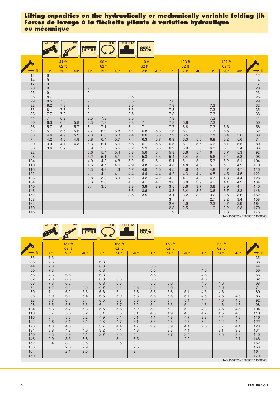|            | $41 - 190$ ft    |                     | $62$ ft      |                |                     | $360^\circ$ | 30000 lbs      | 85%                 |                |                |                     |              |                |                       |                |                                              |
|------------|------------------|---------------------|--------------|----------------|---------------------|-------------|----------------|---------------------|----------------|----------------|---------------------|--------------|----------------|-----------------------|----------------|----------------------------------------------|
|            |                  | 41 ft               |              |                | 96 ft               |             |                | 110 ft              |                |                | 123 ft              |              |                | 137 ft                |                |                                              |
|            | $0^{\circ}$      | 62 ft<br>$20^\circ$ | $40^{\circ}$ | $0^{\circ}$    | 62 ft<br>$20^\circ$ | $40^\circ$  | $0^{\circ}$    | 62 ft<br>$20^\circ$ | $40^\circ$     | $0^{\circ}$    | 62 ft<br>$20^\circ$ | $40^{\circ}$ | $0^{\circ}$    | 62 ft<br>$20^{\circ}$ | $40^\circ$     | ft<br>$\rightarrow$                          |
| 12         | 9                |                     |              |                |                     |             |                |                     |                |                |                     |              |                |                       |                | 12                                           |
| 14         | $\boldsymbol{9}$ |                     |              |                |                     |             |                |                     |                |                |                     |              |                |                       |                |                                              |
| 17         | $\boldsymbol{9}$ |                     |              |                |                     |             |                |                     |                |                |                     |              |                |                       |                | $\frac{14}{17}$                              |
| 20         | $\boldsymbol{9}$ |                     |              | $9$            |                     |             |                |                     |                |                |                     |              |                |                       |                |                                              |
| 23         | 9                |                     |              | 9              |                     |             |                |                     |                |                |                     |              |                |                       |                |                                              |
| 26         | 8.7              |                     |              | 9              |                     |             | 8.5            |                     |                |                |                     |              |                |                       |                |                                              |
| 29         | 8.5              | 7.3                 |              | 9              |                     |             | 8.5            |                     |                | 7.8            |                     |              |                |                       |                | 20<br>23<br>26<br>29<br>32<br>33<br>33<br>44 |
| 32<br>35   | 8.2<br>8         | 7.3<br>7.3          |              | 9<br>9         |                     |             | 8.5<br>8.5     |                     |                | 7.8<br>7.8     |                     |              | 7.3<br>7.3     |                       |                |                                              |
| 38         | 7.7              | 7.2                 |              | 9              |                     |             | 8.5            |                     |                | 7.8            |                     |              | 7.3            |                       |                |                                              |
| 44         | $\overline{7}$   | 6.9                 |              | 8.5            | 7.3                 |             | 8.5            |                     |                | 7.8            |                     |              | 7.3            |                       |                |                                              |
| 50         | 6.3              | 6.5                 | 5.8          | 8.3            | 7.3                 |             | 8.3            | $\overline{7}$      |                | 7.8            | 6.8                 |              | 7.3            |                       |                |                                              |
| 56         | 5.7              | 6                   | 5.7          | 8.1            | 7.1                 |             | 8              | $\overline{7}$      |                | 7.7            | 6.8                 |              | 7.3            | 6.6                   |                | 50<br>56<br>62<br>68                         |
| 62         | 5.1              | 5.5                 | 5.5          | 7.7            | 6.9                 | 5.8         | 7.7            | 6.8                 | 5.8            | 7.5            | 6.7                 |              | 7.3            | 6.5                   |                |                                              |
| 68         | 4.6              | 4.9                 | 5.2          | 7.3            | 6.6                 | 5.8         | 7.4            | 6.6                 | 5.8            | 7.2            | 6.5                 | 5.6          | 7.1            | 6.4                   | 5.6            |                                              |
| 74         | 4.2              | 4.5                 | 4.8          | 6.8            | 6.4                 | 5.7         | $\overline{7}$ | 6.3                 | 5.7            | 6.9            | 6.3                 | 5.6          | 6.9            | 6.2                   | 5.6            | 74                                           |
| 80         | 3.9              | 4.1                 | 4.3          | 6.3            | 6.1                 | 5.6         | 6.6            | 6.1                 | 5.6            | 6.5            | 6.1                 | 5.5          | 6.6            | 6.1                   | 5.5            | 80                                           |
| 86<br>92   | 3.6              | 3.7                 |              | 5.9<br>5.6     | 5.8<br>5.4          | 5.5<br>5.4  | 6.2<br>5.8     | 5.9<br>5.6          | 5.5<br>5.4     | 6.2<br>5.8     | 5.9<br>5.6          | 5.5<br>5.4   | 6.3<br>6       | 6<br>5.7              | 5.4<br>5.3     | 86                                           |
| 98         |                  |                     |              | 5.2            | 5.1                 | 5.1         | 5.5            | 5.3                 | 5.3            | 5.4            | 5.4                 | 5.2          | 5.6            | 5.4                   | 5.3            | 92<br>98                                     |
| 104        |                  |                     |              | 4.9            | 4.8                 | 4.8         | 5.2            | 5.1                 | 5              | 5.1            | 5.1                 | 5            | 5.3            | 5.2                   | 5.1            | 104                                          |
| 110        |                  |                     |              | 4.6            | 4.5                 | 4.6         | 4.9            | 4.8                 | 4.8            | 4.8            | 4.8                 | 4.8          | 5              | 5                     | 4.9            | 110                                          |
| 116        |                  |                     |              | 4.3            | 4.3                 | 4.3         | 4.7            | 4.6                 | 4.6            | 4.5            | 4.6                 | 4.6          | 4.8            | 4.7                   | 4.7            | 116                                          |
| 122        |                  |                     |              | $\overline{4}$ | $\overline{4}$      | 4.1         | 4.4            | 4.4                 | 4.4            | 4.2            | 4.3                 | 4.4          | 4.5            | 4.5                   | 4.5            | 122                                          |
| 128        |                  |                     |              | 3.8            | 3.8                 | 3.9         | 4.2            | 4.2                 | 4.2            | $\overline{4}$ | 4.1                 | 4.2          | 4.3            | 4.3                   | 4.4            | 128                                          |
| 134        |                  |                     |              | 3.6            | 3.6                 |             | $\overline{4}$ | $\overline{4}$      | $\overline{4}$ | 3.8            | 3.8                 | 3.9          | $\overline{4}$ | 4.1                   | 4.2            | 134                                          |
| 140        |                  |                     |              | 3.4            | 3.5                 |             | 3.8            | 3.8                 | 3.9            | 3.5            | 3.6                 | 3.7          | 3.8            | 3.9                   | $\overline{4}$ | 140<br>146                                   |
| 146<br>152 |                  |                     |              |                |                     |             | 3.6<br>3.5     | 3.6<br>3.5          |                | 3.3<br>3.1     | 3.4<br>3.2          | 3.5<br>3.3   | 3.6<br>3.2     | 3.7<br>3.5            | 3.8<br>3.6     | 152                                          |
| 158        |                  |                     |              |                |                     |             |                |                     |                | 3              | 3                   |              | 2.7            | 3.2                   | 3.4            | 158                                          |
| 164        |                  |                     |              |                |                     |             |                |                     |                | 2.6            | 2.9                 |              | 2.3            | 2.7                   | 2.9            | 164                                          |
| 170        |                  |                     |              |                |                     |             |                |                     |                | 2.3            | 2.5                 |              | 1.9            | 2.2                   | 2.3            | 170                                          |
| 176        |                  |                     |              |                |                     |             |                |                     |                | 1.9            |                     |              |                | 1.8                   |                | 176                                          |

TAB 1580325 / 1580335 / 1580345

| - | $62$ ft<br>$\blacktriangle$ |  | $360^\circ$ | $\frac{\sqrt{000}}{2}$<br>lhe<br>ามฉ |  |
|---|-----------------------------|--|-------------|--------------------------------------|--|
|   |                             |  |             |                                      |  |

|     |                | $151$ ft     |                |             | 165 ft       |                |             | 178 ft       |              |             | 190 ft       |              |                                 |
|-----|----------------|--------------|----------------|-------------|--------------|----------------|-------------|--------------|--------------|-------------|--------------|--------------|---------------------------------|
|     |                | 62 ft        |                |             | 62 ft        |                |             | 62 ft        |              |             | 62 ft        |              |                                 |
|     | $0^{\circ}$    | $20^{\circ}$ | $40^{\circ}$   | $0^{\circ}$ | $20^{\circ}$ | $40^{\circ}$   | $0^{\circ}$ | $20^{\circ}$ | $40^{\circ}$ | $0^{\circ}$ | $20^{\circ}$ | $40^{\circ}$ | ft<br>⇔                         |
| 35  | $7.3$          |              |                |             |              |                |             |              |              |             |              |              | 35<br>38<br>44                  |
| 38  | 7.3            |              |                | 6.8         |              |                |             |              |              |             |              |              |                                 |
| 44  | 7.3            |              |                | 6.8         |              |                | 5.6         |              |              |             |              |              |                                 |
| 50  | 7.3            |              |                | 6.8         |              |                | 5.6         |              |              | 4.6         |              |              |                                 |
| 56  | 7.3            | 6.6          |                | 6.8         |              |                | 5.6         |              |              | 4.6         |              |              | 50<br>56<br>62<br>68            |
| 62  | 7.3            | 6.6          |                | 6.8         | 6.3          |                | 5.6         |              |              | 4.6         |              |              |                                 |
| 68  | 7.3            | 6.5          |                | 6.8         | 6.3          |                | 5.6         | 5.6          |              | 4.6         | 4.6          |              |                                 |
| 74  | 7.2            | 6.4          | 5.5            | 6.7         | 6.2          | 5.3            | 5.6         | 5.6          |              | 4.6         | 4.6          |              | 74                              |
| 80  | $\overline{7}$ | 6.2          | 5.5            | 6.6         | 6            | 5.3            | 5.6         | 5.6          | 5.1          | 4.5         | 4.6          |              | 80                              |
| 86  | 6.9            | 6.1          | 5.4            | 6.6         | 5.9          | 5.3            | 5.6         | 5.5          | 5.1          | 4.5         | 4.6          | 4.6          | 86                              |
| 92  | 6.7            | 6            | 5.4            | 6.5         | 5.8          | 5.3            | 5.6         | 5.4          | 5.1          | 4.4         | 4.6          | 4.6          | 92<br>98                        |
| 98  | 6.5            | 5.8          | 5.3            | 6.4         | 5.7          | 5.2            | 5.4         | 5.3          | 5            | 4.3         | 4.6          | 4.6          |                                 |
| 104 | 6.3            | 5.7          | 5.3            | 5.5         | 5.6          | 5.2            | 5.2         | 5.1          | 5            | 4.3         | 4.6          | 4.6          | 104                             |
| 110 | 5.7            | 5.6          | 5.2            | 5.1         | 5.5          | 5.1            | 4.8         | 4.9          | 4.8          | 4.2         | 4.5          | 4.5          | $110$                           |
| 116 | $5\phantom{.}$ | 5.5          | 5.2            | 4.9         | 5.1          | 5.1            | 4.1         | 4.8          | 4.7          | 3.8         | 4.4          | 4.3          | 116                             |
| 122 | 4.6            | 5.1          | 5.1            | 4.3         | 4.7          | 5.1            | 3.5         | 4.5          | 4.6          | 3.2         | 4.2          | 4.2          | 122                             |
| 128 | 4.3            | 4.6          | 5              | 3.7         | 4.4          | 4.7            | 2.9         | 3.9          | 4.4          | 2.6         | 3.7          | 4.1          | 128                             |
| 134 | 3.8            | 4.2          | 4.6            | 3.2         | 4.1          | 4.3            |             | 3.3          | 4.1          |             | 3.1          | 3.8          | 134                             |
| 140 | 3.3            | 3.9          | 4.1            | 2.7         | 3.5          | $\overline{4}$ |             | 2.7          | 3.4          |             | 2.5          | 3.3          | 140                             |
| 146 | 2.9            | 3.5          | 3.8            |             | 3            | 3.5            |             |              | 2.9          |             |              | 2.7          | 146                             |
| 152 | 2.4            | 3            | 3.5            |             | 2.5          | 3              |             |              |              |             |              |              | 152                             |
| 158 |                | 2.6          | 2.9            |             |              | 2.5            |             |              |              |             |              |              | 158                             |
| 164 |                | 2.1          | 2.5            |             |              | $\overline{2}$ |             |              |              |             |              |              | 164                             |
| 170 |                |              | $\overline{2}$ |             |              |                |             |              |              |             |              |              | 170                             |
|     |                |              |                |             |              |                |             |              |              |             |              |              | TAB 1580325 / 1580335 / 1580345 |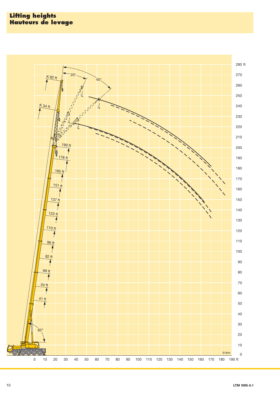![](_page_9_Figure_1.jpeg)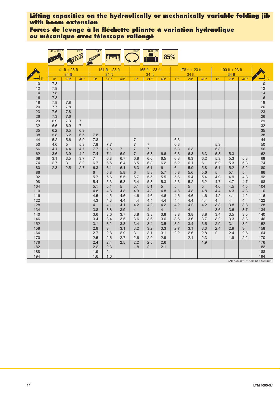## **Forces de levage à la fléchette pliante à variation hydraulique ou mécanique avec télescope rallongé**

|            | $41 - 190$ ft |                       | 23 <sub>ft</sub>      | 34 ft                 |                |                | 360 <sup>°</sup> | 50700 lbs      | 85%            |                |                  |                |                       |                       |                       |                                         |
|------------|---------------|-----------------------|-----------------------|-----------------------|----------------|----------------|------------------|----------------|----------------|----------------|------------------|----------------|-----------------------|-----------------------|-----------------------|-----------------------------------------|
|            |               | $41$ ft + 23 ft       |                       |                       | 151 ft + 23 ft |                |                  | 165 ft + 23 ft |                |                | $178 ft + 23 ft$ |                |                       | 190 ft + 23 ft        |                       |                                         |
|            |               | 34 ft                 |                       |                       | 34 ft          |                |                  | 34 ft          |                |                | 34 ft            |                |                       | 34 ft                 |                       |                                         |
|            | $0^{\circ}$   | $20^\circ$            | $40^{\circ}$          | $0^{\circ}$           | $20^\circ$     | $40^{\circ}$   | $0^{\circ}$      | $20^\circ$     | $40^{\circ}$   | $0^{\circ}$    | $20^\circ$       | $40^\circ$     | $0^{\circ}$           | $20^\circ$            | $40^{\circ}$          | ft                                      |
| 10         | 7.8           |                       |                       |                       |                |                |                  |                |                |                |                  |                |                       |                       |                       | $\begin{array}{c} 10 \\ 12 \end{array}$ |
| 12<br>14   | 7.8<br>7.8    |                       |                       |                       |                |                |                  |                |                |                |                  |                |                       |                       |                       | 14                                      |
| 16         | 7.8           |                       |                       |                       |                |                |                  |                |                |                |                  |                |                       |                       |                       | 16                                      |
| 18         | 7.8           | 7.8                   |                       |                       |                |                |                  |                |                |                |                  |                |                       |                       |                       | 18                                      |
| 20         | 7.7           | 7.8                   |                       |                       |                |                |                  |                |                |                |                  |                |                       |                       |                       | 20                                      |
| 23         | 7.6           | 7.8                   |                       |                       |                |                |                  |                |                |                |                  |                |                       |                       |                       | 23                                      |
| 26         | 7.3           | 7.6                   |                       |                       |                |                |                  |                |                |                |                  |                |                       |                       |                       | 26                                      |
| 29         | 6.9           | 7.3                   | $\overline{7}$        |                       |                |                |                  |                |                |                |                  |                |                       |                       |                       | 29                                      |
| 32<br>35   | 6.6<br>6.2    | 6.9<br>6.5            | $\overline{7}$<br>6.9 |                       |                |                |                  |                |                |                |                  |                |                       |                       |                       | 32<br>35                                |
| 38         | 5.8           | 6.2                   | 6.5                   | 7.8                   |                |                |                  |                |                |                |                  |                |                       |                       |                       | 38                                      |
| 44         | 5.2           | 5.6                   | 5.9                   | 7.8                   |                |                | $\overline{7}$   |                |                | 6.3            |                  |                |                       |                       |                       | 44                                      |
| 50         | 4.6           | 5                     | 5.3                   | 7.8                   | 7.7            |                | $\overline{7}$   | $\overline{7}$ |                | 6.3            |                  |                | 5.3                   |                       |                       | 50                                      |
| 56         | 4.1           | 4.4                   | 4.7                   | 7.7                   | 7.5            | $\overline{7}$ | $\overline{7}$   | $\overline{7}$ |                | 6.3            | 6.3              |                | 5.3                   |                       |                       | 56                                      |
| 62         | 3.6           | 3.9                   | 4.2                   | 7.4                   | 7.1            | 6.9            | $\overline{7}$   | 6.8            | 6.6            | 6.3            | 6.3              | 6.3            | 5.3                   | 5.3                   |                       | 62                                      |
| 68         | 3.1           | 3.5                   | 3.7                   | $7^{\circ}$           | 6.8            | 6.7            | 6.8              | 6.6            | 6.5            | 6.3            | 6.3              | 6.2            | 5.3                   | 5.3                   | 5.3                   | 68                                      |
| 74<br>80   | 2.7<br>2.3    | 3 <sup>1</sup><br>2.5 | 3.2<br>2.7            | 6.7<br>6.3            | 6.5<br>6.1     | 6.4<br>6.1     | 6.5<br>6.3       | 6.3<br>6.1     | 6.2<br>6       | 6.2<br>6       | 6.1<br>5.9       | 6<br>5.8       | 5.2<br>5.1            | 5.3<br>5.2            | 5.3<br>5.2            | 74<br>80                                |
| 86         |               |                       |                       | 6                     | 5.8            | 5.8            | 6                | 5.8            | 5.7            | 5.8            | 5.6              | 5.6            | 5                     | 5.1                   | $5\overline{)}$       | 86                                      |
| 92         |               |                       |                       | 5.7                   | 5.6            | 5.5            | 5.7              | 5.5            | 5.5            | 5.6            | 5.4              | 5.4            | 4.9                   | 4.9                   | 4.8                   | 92                                      |
| 98         |               |                       |                       | 5.4                   | 5.3            | 5.3            | 5.4              | 5.3            | 5.3            | 5.3            | 5.2              | 5.2            | 4.7                   | 4.7                   | 4.7                   | 98                                      |
| 104        |               |                       |                       | 5.1                   | 5.1            | 5              | 5.1              | 5.1            | 5              | 5              | 5                | 5              | 4.6                   | 4.5                   | 4.5                   | 104                                     |
| 110        |               |                       |                       | 4.8                   | 4.8            | 4.8            | 4.9              | 4.8            | 4.8            | 4.8            | 4.8              | 4.8            | 4.4                   | 4.3                   | 4.3                   | 110                                     |
| 116        |               |                       |                       | 4.5                   | 4.5            | 4.6            | 4.6              | 4.6            | 4.6            | 4.6            | 4.6              | 4.6            | 4.2                   | 4.1                   | 4.2                   | 116                                     |
| 122<br>128 |               |                       |                       | 4.3<br>$\overline{4}$ | 4.3<br>4.1     | 4.4<br>4.1     | 4.4<br>4.2       | 4.4<br>4.2     | 4.4<br>4.2     | 4.4<br>4.2     | 4.4<br>4.2       | 4.4<br>4.2     | $\overline{4}$<br>3.8 | $\overline{4}$<br>3.8 | $\overline{4}$<br>3.8 | 122<br>128                              |
| 134        |               |                       |                       | 3.8                   | 3.8            | 3.9            | $\overline{4}$   | $\overline{4}$ | $\overline{4}$ | $\overline{4}$ | $\overline{4}$   | $\overline{4}$ | 3.6                   | 3.6                   | 3.7                   | 134                                     |
| 140        |               |                       |                       | 3.6                   | 3.6            | 3.7            | 3.8              | 3.8            | 3.8            | 3.8            | 3.8              | 3.8            | 3.4                   | 3.5                   | 3.5                   | 140                                     |
| 146        |               |                       |                       | 3.4                   | 3.4            | 3.5            | 3.6              | 3.6            | 3.6            | 3.6            | 3.6              | 3.7            | 3.2                   | 3.3                   | 3.3                   | 146                                     |
| 152        |               |                       |                       | 3.1                   | 3.2            | 3.3            | 3.4              | 3.4            | 3.5            | 3.2            | 3.4              | 3.5            | 2.9                   | 3.1                   | 3.2                   | 152                                     |
| 158        |               |                       |                       | 2.9                   | $\mathbf{3}$   | 3.1            | 3.2              | 3.2            | 3.3            | 2.7            | 3.1              | 3.3            | 2.4                   | 2.9                   | $\mathbf{3}$          | 158                                     |
| 164        |               |                       |                       | 2.7                   | 2.8            | 2.9            | 3                | 3.1            | 3.1            | 2.2            | 2.6              | 2.8            | $\overline{2}$        | 2.4                   | 2.6                   | 164                                     |
| 170<br>176 |               |                       |                       | 2.5<br>2.4            | 2.6<br>2.4     | 2.7<br>2.5     | 2.6<br>2.2       | 2.9<br>2.5     | 2.9<br>2.6     |                | 2.1              | 2.3<br>1.9     |                       | 1.9                   | 2.2                   | 170<br>176                              |
| 182        |               |                       |                       | 2.2                   | 2.3            |                | 1.8              | $\overline{2}$ | 2.1            |                |                  |                |                       |                       |                       | 182                                     |
| 188        |               |                       |                       | 1.9                   | $\overline{2}$ |                |                  |                |                |                |                  |                |                       |                       |                       | 188                                     |
| 194        |               |                       |                       | 1.6                   | 1.6            |                |                  |                |                |                |                  |                |                       |                       |                       | 194                                     |
|            |               |                       |                       |                       |                |                |                  |                |                |                |                  |                |                       |                       |                       | TAB 1580351 / 1580361 / 1580371         |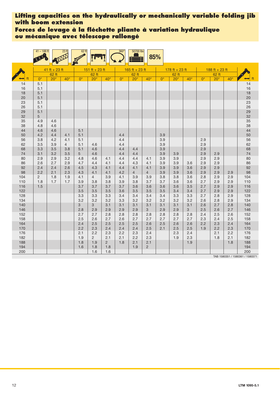**Forces de levage à la fléchette pliante à variation hydraulique ou mécanique avec télescope rallongé**

| 178 ft + 23 ft<br>41 ft + 23 ft<br>151 ft + 23 ft<br>165 ft + 23 ft<br>188 ft + 23 ft<br>62 ft<br>62 ft<br>62 ft<br>62 ft<br>$62$ ft<br>$20^\circ$<br>$20^{\circ}$<br>$0^{\circ}$<br>ft<br>$0^{\circ}$<br>$40^{\circ}$<br>$0^{\circ}$<br>$40^\circ$<br>$20^\circ$<br>$40^{\circ}$<br>$0^{\circ}$<br>$20^\circ$<br>$40^{\circ}$<br>$0^{\circ}$<br>$20^{\circ}$<br>$40^{\circ}$<br>⊷<br>5.1<br>14<br>14<br>16<br>16<br>5.1<br>18<br>5.1<br>18<br>20<br>20<br>5.1<br>23<br>23<br>5.1<br>26<br>26<br>5.1<br>5.1<br>29<br>29<br>32<br>32<br>5<br>35<br>35<br>4.9<br>4.6<br>38<br>38<br>4.8<br>4.6<br>44<br>44<br>4.6<br>4.6<br>5.1<br>50<br>4.2<br>5.1<br>4.4<br>3.9<br>50<br>4.4<br>4.1<br>3.9<br>2.9<br>56<br>56<br>3.8<br>4.2<br>5.1<br>4.4<br>4.1<br>62<br>62<br>$\overline{4}$<br>5.1<br>3.9<br>2.9<br>3.5<br>3.9<br>4.6<br>4.4<br>68<br>3.3<br>3.5<br>5.1<br>4.6<br>4.4<br>3.9<br>2.9<br>68<br>3.8<br>4.4<br>74<br>4.4<br>4.4<br>3.9<br>2.9<br>74<br>3.1<br>3.2<br>3.5<br>5<br>4.6<br>3.9<br>2.9<br>80<br>4.8<br>4.6<br>4.4<br>4.4<br>3.9<br>3.9<br>2.9<br>2.9<br>80<br>2.9<br>2.9<br>3.2<br>4.1<br>4.1<br>2.9<br>86<br>86<br>2.6<br>2.7<br>2.9<br>4.7<br>4.4<br>4.1<br>4.3<br>3.9<br>3.9<br>2.9<br>4.4<br>4.1<br>3.6<br>2.9<br>92<br>92<br>2.4<br>2.4<br>2.6<br>4.5<br>4.3<br>4.1<br>4.4<br>4.1<br>3.9<br>3.9<br>3.6<br>2.9<br>4.1<br>98<br>98<br>4.1<br>$\overline{4}$<br>$\overline{4}$<br>3.9<br>3.6<br>2.9<br>2.2<br>2.1<br>2.3<br>4.3<br>4.1<br>4.2<br>3.9<br>2.9<br>2.9<br>104<br>$\overline{2}$<br>1.8<br>$\overline{4}$<br>3.9<br>3.9<br>3.8<br>3.8<br>3.6<br>2.8<br>2.9<br>2.9<br>104<br>1.9<br>4.1<br>4.1<br>3.9<br>3.8<br>110<br>1.8<br>1.7<br>1.7<br>3.9<br>3.8<br>3.9<br>3.8<br>3.7<br>3.7<br>3.6<br>3.6<br>2.7<br>2.9<br>2.9<br>110<br>1.5<br>3.7<br>2.7<br>116<br>3.7<br>3.7<br>3.7<br>3.6<br>3.6<br>3.6<br>3.6<br>3.5<br>2.9<br>2.9<br>116<br>122<br>3.5<br>3.5<br>3.5<br>3.5<br>3.5<br>3.5<br>3.4<br>2.7<br>2.9<br>2.9<br>122<br>3.6<br>3.4<br>2.9<br>128<br>3.3<br>3.3<br>3.3<br>3.4<br>3.4<br>3.4<br>3.4<br>3.3<br>3.3<br>2.7<br>2.8<br>128<br>134<br>3.2<br>3.2<br>3.2<br>3.2<br>2.9<br>3.2<br>3.3<br>3.2<br>3.2<br>3.2<br>2.6<br>2.8<br>134<br>3<br>140<br>3<br>3.1<br>3.1<br>3.1<br>3.1<br>3.1<br>2.6<br>2.7<br>2.8<br>140<br>3.1<br>3.1<br>2.8<br>2.9<br>146<br>2.9<br>2.9<br>2.9<br>3<br>2.9<br>2.9<br>3<br>2.5<br>2.6<br>2.7<br>146<br>152<br>2.7<br>2.7<br>2.8<br>2.8<br>2.8<br>2.8<br>2.8<br>2.8<br>2.4<br>2.5<br>2.6<br>152<br>2.8<br>158<br>2.5<br>2.7<br>2.7<br>2.7<br>2.3<br>2.4<br>2.5<br>2.6<br>2.6<br>2.7<br>2.7<br>2.7<br>158<br>2.4<br>2.5<br>2.2<br>164<br>2.5<br>2.5<br>2.5<br>2.6<br>2.5<br>2.6<br>2.6<br>2.3<br>2.4<br>164<br>170<br>2.2<br>2.3<br>2.4<br>2.4<br>2.5<br>2.1<br>2.5<br>2.5<br>1.9<br>2.2<br>2.3<br>170<br>2.4<br>176<br>2.1<br>2.2<br>2.4<br>2.3<br>2.2<br>2.3<br>2.4<br>2.3<br>2.1<br>2.2<br>176<br>182<br>1.9<br>$\overline{2}$<br>2.3<br>2.1<br>182<br>2.1<br>2.1<br>2.2<br>2.3<br>1.9<br>1.8<br>188<br>1.8<br>1.9<br>$\overline{2}$<br>1.8<br>1.9<br>1.8<br>188<br>2.1<br>2.1<br>194<br>1.6<br>1.8<br>1.8<br>1.9<br>$\overline{2}$<br>194<br>200<br>1.6<br>1.6<br>200 | $41 - 188$ ft | 23 <sub>ft</sub> | $62$ ft |  | $360^\circ$ | 50700 lbs | 85% |  |  |  |  |
|------------------------------------------------------------------------------------------------------------------------------------------------------------------------------------------------------------------------------------------------------------------------------------------------------------------------------------------------------------------------------------------------------------------------------------------------------------------------------------------------------------------------------------------------------------------------------------------------------------------------------------------------------------------------------------------------------------------------------------------------------------------------------------------------------------------------------------------------------------------------------------------------------------------------------------------------------------------------------------------------------------------------------------------------------------------------------------------------------------------------------------------------------------------------------------------------------------------------------------------------------------------------------------------------------------------------------------------------------------------------------------------------------------------------------------------------------------------------------------------------------------------------------------------------------------------------------------------------------------------------------------------------------------------------------------------------------------------------------------------------------------------------------------------------------------------------------------------------------------------------------------------------------------------------------------------------------------------------------------------------------------------------------------------------------------------------------------------------------------------------------------------------------------------------------------------------------------------------------------------------------------------------------------------------------------------------------------------------------------------------------------------------------------------------------------------------------------------------------------------------------------------------------------------------------------------------------------------------------------------------------------------------------------------------------------------------------------------------------------------------------------------------------------------------------------------------------------------------------------------------------------------------------------------------------------------------------------------------------------------------------------------------------------------------------------------------------------------------------------------------------------|---------------|------------------|---------|--|-------------|-----------|-----|--|--|--|--|
|                                                                                                                                                                                                                                                                                                                                                                                                                                                                                                                                                                                                                                                                                                                                                                                                                                                                                                                                                                                                                                                                                                                                                                                                                                                                                                                                                                                                                                                                                                                                                                                                                                                                                                                                                                                                                                                                                                                                                                                                                                                                                                                                                                                                                                                                                                                                                                                                                                                                                                                                                                                                                                                                                                                                                                                                                                                                                                                                                                                                                                                                                                                                    |               |                  |         |  |             |           |     |  |  |  |  |
|                                                                                                                                                                                                                                                                                                                                                                                                                                                                                                                                                                                                                                                                                                                                                                                                                                                                                                                                                                                                                                                                                                                                                                                                                                                                                                                                                                                                                                                                                                                                                                                                                                                                                                                                                                                                                                                                                                                                                                                                                                                                                                                                                                                                                                                                                                                                                                                                                                                                                                                                                                                                                                                                                                                                                                                                                                                                                                                                                                                                                                                                                                                                    |               |                  |         |  |             |           |     |  |  |  |  |
|                                                                                                                                                                                                                                                                                                                                                                                                                                                                                                                                                                                                                                                                                                                                                                                                                                                                                                                                                                                                                                                                                                                                                                                                                                                                                                                                                                                                                                                                                                                                                                                                                                                                                                                                                                                                                                                                                                                                                                                                                                                                                                                                                                                                                                                                                                                                                                                                                                                                                                                                                                                                                                                                                                                                                                                                                                                                                                                                                                                                                                                                                                                                    |               |                  |         |  |             |           |     |  |  |  |  |
|                                                                                                                                                                                                                                                                                                                                                                                                                                                                                                                                                                                                                                                                                                                                                                                                                                                                                                                                                                                                                                                                                                                                                                                                                                                                                                                                                                                                                                                                                                                                                                                                                                                                                                                                                                                                                                                                                                                                                                                                                                                                                                                                                                                                                                                                                                                                                                                                                                                                                                                                                                                                                                                                                                                                                                                                                                                                                                                                                                                                                                                                                                                                    |               |                  |         |  |             |           |     |  |  |  |  |
|                                                                                                                                                                                                                                                                                                                                                                                                                                                                                                                                                                                                                                                                                                                                                                                                                                                                                                                                                                                                                                                                                                                                                                                                                                                                                                                                                                                                                                                                                                                                                                                                                                                                                                                                                                                                                                                                                                                                                                                                                                                                                                                                                                                                                                                                                                                                                                                                                                                                                                                                                                                                                                                                                                                                                                                                                                                                                                                                                                                                                                                                                                                                    |               |                  |         |  |             |           |     |  |  |  |  |
|                                                                                                                                                                                                                                                                                                                                                                                                                                                                                                                                                                                                                                                                                                                                                                                                                                                                                                                                                                                                                                                                                                                                                                                                                                                                                                                                                                                                                                                                                                                                                                                                                                                                                                                                                                                                                                                                                                                                                                                                                                                                                                                                                                                                                                                                                                                                                                                                                                                                                                                                                                                                                                                                                                                                                                                                                                                                                                                                                                                                                                                                                                                                    |               |                  |         |  |             |           |     |  |  |  |  |
|                                                                                                                                                                                                                                                                                                                                                                                                                                                                                                                                                                                                                                                                                                                                                                                                                                                                                                                                                                                                                                                                                                                                                                                                                                                                                                                                                                                                                                                                                                                                                                                                                                                                                                                                                                                                                                                                                                                                                                                                                                                                                                                                                                                                                                                                                                                                                                                                                                                                                                                                                                                                                                                                                                                                                                                                                                                                                                                                                                                                                                                                                                                                    |               |                  |         |  |             |           |     |  |  |  |  |
|                                                                                                                                                                                                                                                                                                                                                                                                                                                                                                                                                                                                                                                                                                                                                                                                                                                                                                                                                                                                                                                                                                                                                                                                                                                                                                                                                                                                                                                                                                                                                                                                                                                                                                                                                                                                                                                                                                                                                                                                                                                                                                                                                                                                                                                                                                                                                                                                                                                                                                                                                                                                                                                                                                                                                                                                                                                                                                                                                                                                                                                                                                                                    |               |                  |         |  |             |           |     |  |  |  |  |
|                                                                                                                                                                                                                                                                                                                                                                                                                                                                                                                                                                                                                                                                                                                                                                                                                                                                                                                                                                                                                                                                                                                                                                                                                                                                                                                                                                                                                                                                                                                                                                                                                                                                                                                                                                                                                                                                                                                                                                                                                                                                                                                                                                                                                                                                                                                                                                                                                                                                                                                                                                                                                                                                                                                                                                                                                                                                                                                                                                                                                                                                                                                                    |               |                  |         |  |             |           |     |  |  |  |  |
|                                                                                                                                                                                                                                                                                                                                                                                                                                                                                                                                                                                                                                                                                                                                                                                                                                                                                                                                                                                                                                                                                                                                                                                                                                                                                                                                                                                                                                                                                                                                                                                                                                                                                                                                                                                                                                                                                                                                                                                                                                                                                                                                                                                                                                                                                                                                                                                                                                                                                                                                                                                                                                                                                                                                                                                                                                                                                                                                                                                                                                                                                                                                    |               |                  |         |  |             |           |     |  |  |  |  |
|                                                                                                                                                                                                                                                                                                                                                                                                                                                                                                                                                                                                                                                                                                                                                                                                                                                                                                                                                                                                                                                                                                                                                                                                                                                                                                                                                                                                                                                                                                                                                                                                                                                                                                                                                                                                                                                                                                                                                                                                                                                                                                                                                                                                                                                                                                                                                                                                                                                                                                                                                                                                                                                                                                                                                                                                                                                                                                                                                                                                                                                                                                                                    |               |                  |         |  |             |           |     |  |  |  |  |
|                                                                                                                                                                                                                                                                                                                                                                                                                                                                                                                                                                                                                                                                                                                                                                                                                                                                                                                                                                                                                                                                                                                                                                                                                                                                                                                                                                                                                                                                                                                                                                                                                                                                                                                                                                                                                                                                                                                                                                                                                                                                                                                                                                                                                                                                                                                                                                                                                                                                                                                                                                                                                                                                                                                                                                                                                                                                                                                                                                                                                                                                                                                                    |               |                  |         |  |             |           |     |  |  |  |  |
|                                                                                                                                                                                                                                                                                                                                                                                                                                                                                                                                                                                                                                                                                                                                                                                                                                                                                                                                                                                                                                                                                                                                                                                                                                                                                                                                                                                                                                                                                                                                                                                                                                                                                                                                                                                                                                                                                                                                                                                                                                                                                                                                                                                                                                                                                                                                                                                                                                                                                                                                                                                                                                                                                                                                                                                                                                                                                                                                                                                                                                                                                                                                    |               |                  |         |  |             |           |     |  |  |  |  |
|                                                                                                                                                                                                                                                                                                                                                                                                                                                                                                                                                                                                                                                                                                                                                                                                                                                                                                                                                                                                                                                                                                                                                                                                                                                                                                                                                                                                                                                                                                                                                                                                                                                                                                                                                                                                                                                                                                                                                                                                                                                                                                                                                                                                                                                                                                                                                                                                                                                                                                                                                                                                                                                                                                                                                                                                                                                                                                                                                                                                                                                                                                                                    |               |                  |         |  |             |           |     |  |  |  |  |
|                                                                                                                                                                                                                                                                                                                                                                                                                                                                                                                                                                                                                                                                                                                                                                                                                                                                                                                                                                                                                                                                                                                                                                                                                                                                                                                                                                                                                                                                                                                                                                                                                                                                                                                                                                                                                                                                                                                                                                                                                                                                                                                                                                                                                                                                                                                                                                                                                                                                                                                                                                                                                                                                                                                                                                                                                                                                                                                                                                                                                                                                                                                                    |               |                  |         |  |             |           |     |  |  |  |  |
|                                                                                                                                                                                                                                                                                                                                                                                                                                                                                                                                                                                                                                                                                                                                                                                                                                                                                                                                                                                                                                                                                                                                                                                                                                                                                                                                                                                                                                                                                                                                                                                                                                                                                                                                                                                                                                                                                                                                                                                                                                                                                                                                                                                                                                                                                                                                                                                                                                                                                                                                                                                                                                                                                                                                                                                                                                                                                                                                                                                                                                                                                                                                    |               |                  |         |  |             |           |     |  |  |  |  |
|                                                                                                                                                                                                                                                                                                                                                                                                                                                                                                                                                                                                                                                                                                                                                                                                                                                                                                                                                                                                                                                                                                                                                                                                                                                                                                                                                                                                                                                                                                                                                                                                                                                                                                                                                                                                                                                                                                                                                                                                                                                                                                                                                                                                                                                                                                                                                                                                                                                                                                                                                                                                                                                                                                                                                                                                                                                                                                                                                                                                                                                                                                                                    |               |                  |         |  |             |           |     |  |  |  |  |
|                                                                                                                                                                                                                                                                                                                                                                                                                                                                                                                                                                                                                                                                                                                                                                                                                                                                                                                                                                                                                                                                                                                                                                                                                                                                                                                                                                                                                                                                                                                                                                                                                                                                                                                                                                                                                                                                                                                                                                                                                                                                                                                                                                                                                                                                                                                                                                                                                                                                                                                                                                                                                                                                                                                                                                                                                                                                                                                                                                                                                                                                                                                                    |               |                  |         |  |             |           |     |  |  |  |  |
|                                                                                                                                                                                                                                                                                                                                                                                                                                                                                                                                                                                                                                                                                                                                                                                                                                                                                                                                                                                                                                                                                                                                                                                                                                                                                                                                                                                                                                                                                                                                                                                                                                                                                                                                                                                                                                                                                                                                                                                                                                                                                                                                                                                                                                                                                                                                                                                                                                                                                                                                                                                                                                                                                                                                                                                                                                                                                                                                                                                                                                                                                                                                    |               |                  |         |  |             |           |     |  |  |  |  |
|                                                                                                                                                                                                                                                                                                                                                                                                                                                                                                                                                                                                                                                                                                                                                                                                                                                                                                                                                                                                                                                                                                                                                                                                                                                                                                                                                                                                                                                                                                                                                                                                                                                                                                                                                                                                                                                                                                                                                                                                                                                                                                                                                                                                                                                                                                                                                                                                                                                                                                                                                                                                                                                                                                                                                                                                                                                                                                                                                                                                                                                                                                                                    |               |                  |         |  |             |           |     |  |  |  |  |
|                                                                                                                                                                                                                                                                                                                                                                                                                                                                                                                                                                                                                                                                                                                                                                                                                                                                                                                                                                                                                                                                                                                                                                                                                                                                                                                                                                                                                                                                                                                                                                                                                                                                                                                                                                                                                                                                                                                                                                                                                                                                                                                                                                                                                                                                                                                                                                                                                                                                                                                                                                                                                                                                                                                                                                                                                                                                                                                                                                                                                                                                                                                                    |               |                  |         |  |             |           |     |  |  |  |  |
|                                                                                                                                                                                                                                                                                                                                                                                                                                                                                                                                                                                                                                                                                                                                                                                                                                                                                                                                                                                                                                                                                                                                                                                                                                                                                                                                                                                                                                                                                                                                                                                                                                                                                                                                                                                                                                                                                                                                                                                                                                                                                                                                                                                                                                                                                                                                                                                                                                                                                                                                                                                                                                                                                                                                                                                                                                                                                                                                                                                                                                                                                                                                    |               |                  |         |  |             |           |     |  |  |  |  |
|                                                                                                                                                                                                                                                                                                                                                                                                                                                                                                                                                                                                                                                                                                                                                                                                                                                                                                                                                                                                                                                                                                                                                                                                                                                                                                                                                                                                                                                                                                                                                                                                                                                                                                                                                                                                                                                                                                                                                                                                                                                                                                                                                                                                                                                                                                                                                                                                                                                                                                                                                                                                                                                                                                                                                                                                                                                                                                                                                                                                                                                                                                                                    |               |                  |         |  |             |           |     |  |  |  |  |
|                                                                                                                                                                                                                                                                                                                                                                                                                                                                                                                                                                                                                                                                                                                                                                                                                                                                                                                                                                                                                                                                                                                                                                                                                                                                                                                                                                                                                                                                                                                                                                                                                                                                                                                                                                                                                                                                                                                                                                                                                                                                                                                                                                                                                                                                                                                                                                                                                                                                                                                                                                                                                                                                                                                                                                                                                                                                                                                                                                                                                                                                                                                                    |               |                  |         |  |             |           |     |  |  |  |  |
|                                                                                                                                                                                                                                                                                                                                                                                                                                                                                                                                                                                                                                                                                                                                                                                                                                                                                                                                                                                                                                                                                                                                                                                                                                                                                                                                                                                                                                                                                                                                                                                                                                                                                                                                                                                                                                                                                                                                                                                                                                                                                                                                                                                                                                                                                                                                                                                                                                                                                                                                                                                                                                                                                                                                                                                                                                                                                                                                                                                                                                                                                                                                    |               |                  |         |  |             |           |     |  |  |  |  |
|                                                                                                                                                                                                                                                                                                                                                                                                                                                                                                                                                                                                                                                                                                                                                                                                                                                                                                                                                                                                                                                                                                                                                                                                                                                                                                                                                                                                                                                                                                                                                                                                                                                                                                                                                                                                                                                                                                                                                                                                                                                                                                                                                                                                                                                                                                                                                                                                                                                                                                                                                                                                                                                                                                                                                                                                                                                                                                                                                                                                                                                                                                                                    |               |                  |         |  |             |           |     |  |  |  |  |
|                                                                                                                                                                                                                                                                                                                                                                                                                                                                                                                                                                                                                                                                                                                                                                                                                                                                                                                                                                                                                                                                                                                                                                                                                                                                                                                                                                                                                                                                                                                                                                                                                                                                                                                                                                                                                                                                                                                                                                                                                                                                                                                                                                                                                                                                                                                                                                                                                                                                                                                                                                                                                                                                                                                                                                                                                                                                                                                                                                                                                                                                                                                                    |               |                  |         |  |             |           |     |  |  |  |  |
|                                                                                                                                                                                                                                                                                                                                                                                                                                                                                                                                                                                                                                                                                                                                                                                                                                                                                                                                                                                                                                                                                                                                                                                                                                                                                                                                                                                                                                                                                                                                                                                                                                                                                                                                                                                                                                                                                                                                                                                                                                                                                                                                                                                                                                                                                                                                                                                                                                                                                                                                                                                                                                                                                                                                                                                                                                                                                                                                                                                                                                                                                                                                    |               |                  |         |  |             |           |     |  |  |  |  |
|                                                                                                                                                                                                                                                                                                                                                                                                                                                                                                                                                                                                                                                                                                                                                                                                                                                                                                                                                                                                                                                                                                                                                                                                                                                                                                                                                                                                                                                                                                                                                                                                                                                                                                                                                                                                                                                                                                                                                                                                                                                                                                                                                                                                                                                                                                                                                                                                                                                                                                                                                                                                                                                                                                                                                                                                                                                                                                                                                                                                                                                                                                                                    |               |                  |         |  |             |           |     |  |  |  |  |
|                                                                                                                                                                                                                                                                                                                                                                                                                                                                                                                                                                                                                                                                                                                                                                                                                                                                                                                                                                                                                                                                                                                                                                                                                                                                                                                                                                                                                                                                                                                                                                                                                                                                                                                                                                                                                                                                                                                                                                                                                                                                                                                                                                                                                                                                                                                                                                                                                                                                                                                                                                                                                                                                                                                                                                                                                                                                                                                                                                                                                                                                                                                                    |               |                  |         |  |             |           |     |  |  |  |  |
|                                                                                                                                                                                                                                                                                                                                                                                                                                                                                                                                                                                                                                                                                                                                                                                                                                                                                                                                                                                                                                                                                                                                                                                                                                                                                                                                                                                                                                                                                                                                                                                                                                                                                                                                                                                                                                                                                                                                                                                                                                                                                                                                                                                                                                                                                                                                                                                                                                                                                                                                                                                                                                                                                                                                                                                                                                                                                                                                                                                                                                                                                                                                    |               |                  |         |  |             |           |     |  |  |  |  |
|                                                                                                                                                                                                                                                                                                                                                                                                                                                                                                                                                                                                                                                                                                                                                                                                                                                                                                                                                                                                                                                                                                                                                                                                                                                                                                                                                                                                                                                                                                                                                                                                                                                                                                                                                                                                                                                                                                                                                                                                                                                                                                                                                                                                                                                                                                                                                                                                                                                                                                                                                                                                                                                                                                                                                                                                                                                                                                                                                                                                                                                                                                                                    |               |                  |         |  |             |           |     |  |  |  |  |
|                                                                                                                                                                                                                                                                                                                                                                                                                                                                                                                                                                                                                                                                                                                                                                                                                                                                                                                                                                                                                                                                                                                                                                                                                                                                                                                                                                                                                                                                                                                                                                                                                                                                                                                                                                                                                                                                                                                                                                                                                                                                                                                                                                                                                                                                                                                                                                                                                                                                                                                                                                                                                                                                                                                                                                                                                                                                                                                                                                                                                                                                                                                                    |               |                  |         |  |             |           |     |  |  |  |  |
|                                                                                                                                                                                                                                                                                                                                                                                                                                                                                                                                                                                                                                                                                                                                                                                                                                                                                                                                                                                                                                                                                                                                                                                                                                                                                                                                                                                                                                                                                                                                                                                                                                                                                                                                                                                                                                                                                                                                                                                                                                                                                                                                                                                                                                                                                                                                                                                                                                                                                                                                                                                                                                                                                                                                                                                                                                                                                                                                                                                                                                                                                                                                    |               |                  |         |  |             |           |     |  |  |  |  |
|                                                                                                                                                                                                                                                                                                                                                                                                                                                                                                                                                                                                                                                                                                                                                                                                                                                                                                                                                                                                                                                                                                                                                                                                                                                                                                                                                                                                                                                                                                                                                                                                                                                                                                                                                                                                                                                                                                                                                                                                                                                                                                                                                                                                                                                                                                                                                                                                                                                                                                                                                                                                                                                                                                                                                                                                                                                                                                                                                                                                                                                                                                                                    |               |                  |         |  |             |           |     |  |  |  |  |

TAB 1580351 / 1580361 / 1580371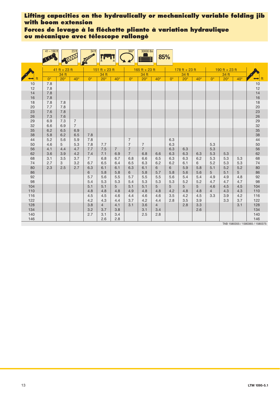**Forces de levage à la fléchette pliante à variation hydraulique ou mécanique avec télescope rallongé**

|          | $41 - 190$ ft |                 | 23 ft          | 34 <sup>ft</sup> |                |                | $360^\circ$      | 30000 lbs      |                | 85%              |                  |              |                |                |              |                                  |
|----------|---------------|-----------------|----------------|------------------|----------------|----------------|------------------|----------------|----------------|------------------|------------------|--------------|----------------|----------------|--------------|----------------------------------|
|          |               | $41$ ft + 23 ft |                |                  | 151 ft + 23 ft |                |                  | 165 ft + 23 ft |                |                  | $178 ft + 23 ft$ |              |                | 190 ft + 23 ft |              |                                  |
|          |               | 34 ft           |                |                  | 34 ft          |                |                  | 34 ft          |                |                  | 34 ft            |              |                | 34 ft          |              |                                  |
|          | $0^{\circ}$   | $20^\circ$      | $40^\circ$     | $\Omega^{\circ}$ | $20^\circ$     | $40^\circ$     | $\Omega^{\circ}$ | $20^\circ$     | $40^\circ$     | $\Omega^{\circ}$ | $20^\circ$       | $40^{\circ}$ | $0^{\circ}$    | $20^\circ$     | $40^{\circ}$ | ft<br>⊷                          |
| 10       | 7.8           |                 |                |                  |                |                |                  |                |                |                  |                  |              |                |                |              | 10                               |
| 12       | 7.8           |                 |                |                  |                |                |                  |                |                |                  |                  |              |                |                |              | 12                               |
| 14       | 7.8           |                 |                |                  |                |                |                  |                |                |                  |                  |              |                |                |              | 14                               |
| 16       | 7.8           |                 |                |                  |                |                |                  |                |                |                  |                  |              |                |                |              | 16                               |
| 18       | 7.8           | 7.8             |                |                  |                |                |                  |                |                |                  |                  |              |                |                |              | 18                               |
| 20       | 7.7           | 7.8             |                |                  |                |                |                  |                |                |                  |                  |              |                |                |              |                                  |
| 23       | 7.6           | 7.8             |                |                  |                |                |                  |                |                |                  |                  |              |                |                |              |                                  |
| 26       | 7.3           | 7.6             |                |                  |                |                |                  |                |                |                  |                  |              |                |                |              |                                  |
| 29       | 6.9           | 7.3             | $\overline{7}$ |                  |                |                |                  |                |                |                  |                  |              |                |                |              | 20<br>23<br>26<br>29<br>32<br>35 |
| 32<br>35 | 6.6<br>6.2    | 6.9<br>6.5      | $\overline{7}$ |                  |                |                |                  |                |                |                  |                  |              |                |                |              |                                  |
| 38       | 5.8           | 6.2             | 6.9<br>6.5     | 7.8              |                |                |                  |                |                |                  |                  |              |                |                |              | 38                               |
| 44       | 5.2           | 5.6             | 5.9            | 7.8              |                |                | $\overline{7}$   |                |                | 6.3              |                  |              |                |                |              | 44                               |
| 50       | 4.6           | 5               | 5.3            | 7.8              | 7.7            |                | $\overline{7}$   | $\overline{7}$ |                | 6.3              |                  |              | 5.3            |                |              | 50                               |
| 56       | 4.1           | 4.4             | 4.7            | 7.7              | 7.5            | $\overline{7}$ | $\overline{7}$   | $\overline{7}$ |                | 6.3              | 6.3              |              | 5.3            |                |              | 56                               |
| 62       | 3.6           | 3.9             | 4.2            | 7.4              | 7.1            | 6.9            | $\overline{7}$   | 6.8            | 6.6            | 6.3              | 6.3              | 6.3          | 5.3            | 5.3            |              | 62                               |
| 68       | 3.1           | 3.5             | 3.7            | $\overline{7}$   | 6.8            | 6.7            | 6.8              | 6.6            | 6.5            | 6.3              | 6.3              | 6.2          | 5.3            | 5.3            | 5.3          | 68                               |
| 74       | 2.7           | 3               | 3.2            | 6.7              | 6.5            | 6.4            | 6.5              | 6.3            | 6.2            | 6.2              | 6.1              | 6            | 5.2            | 5.3            | 5.3          | 74                               |
| 80       | 2.3           | 2.5             | 2.7            | 6.3              | 6.1            | 6.1            | 6.3              | 6.1            | 6              | 6                | 5.9              | 5.8          | 5.1            | 5.2            | 5.2          | 80                               |
| 86       |               |                 |                | 6                | 5.8            | 5.8            | 6                | 5.8            | 5.7            | 5.8              | 5.6              | 5.6          | 5              | 5.1            | 5            | 86                               |
| 92       |               |                 |                | 5.7              | 5.6            | 5.5            | 5.7              | 5.5            | 5.5            | 5.6              | 5.4              | 5.4          | 4.9            | 4.9            | 4.8          | 92                               |
| 98       |               |                 |                | 5.4              | 5.3            | 5.3            | 5.4              | 5.3            | 5.3            | 5.3              | 5.2              | 5.2          | 4.7            | 4.7            | 4.7          | 98                               |
| 104      |               |                 |                | 5.1              | 5.1            | 5              | 5.1              | 5.1            | 5              | 5                | 5                | 5            | 4.6            | 4.5            | 4.5          | 104                              |
| 110      |               |                 |                | 4.8              | 4.8            | 4.8            | 4.9              | 4.8            | 4.8            | 4.2              | 4.8              | 4.8          | $\overline{4}$ | 4.3            | 4.3          | 110                              |
| 116      |               |                 |                | 4.5              | 4.5            | 4.6            | 4.4              | 4.6            | 4.6            | 3.5              | 4.2              | 4.5          | 3.3            | 3.9            | 4.2          | 116                              |
| 122      |               |                 |                | 4.2              | 4.3            | 4.4            | 3.7              | 4.2            | 4.4            | 2.8              | 3.5              | 3.9          |                | 3.3            | 3.7          | 122                              |
| 128      |               |                 |                | 3.8              | $\overline{4}$ | 4.1            | 3.1              | 3.6            | $\overline{4}$ |                  | 2.8              | 3.3          |                |                | 3.1          | 128                              |
| 134      |               |                 |                | 3.2              | 3.7            | 3.8            |                  | 3.1            | 3.4            |                  |                  | 2.6          |                |                |              | 134                              |
| 140      |               |                 |                | 2.7              | 3.1            | 3.4            |                  | 2.5            | 2.8            |                  |                  |              |                |                |              | 140                              |
| 146      |               |                 |                |                  | 2.6            | 2.8            |                  |                |                |                  |                  |              |                | TAD 1500055    |              | 146                              |

TAB 1580355 / 1580365 / 1580375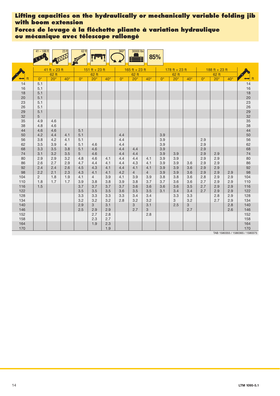**Forces de levage à la fléchette pliante à variation hydraulique ou mécanique avec télescope rallongé**

|            | $41 - 188$ ft  |               | 23 <sup>ft</sup> | $62$ ft        |                |              | $360^\circ$ | 30000 lbs      |                | 85%         |                |                     |             |                |              |                                 |
|------------|----------------|---------------|------------------|----------------|----------------|--------------|-------------|----------------|----------------|-------------|----------------|---------------------|-------------|----------------|--------------|---------------------------------|
|            |                | 41 ft + 23 ft |                  |                | 151 ft + 23 ft |              |             | 165 ft + 23 ft |                |             | 178 ft + 23 ft |                     |             | 188 ft + 23 ft |              |                                 |
|            |                | 62 ft         |                  |                | 62 ft          |              |             | 62 ft          |                |             | 62 ft          |                     |             | 62 ft          |              |                                 |
|            | $0^{\circ}$    | $20^\circ$    | $40^{\circ}$     | $0^{\circ}$    | $20^\circ$     | $40^{\circ}$ | $0^{\circ}$ | $20^\circ$     | $40^\circ$     | $0^{\circ}$ | $20^\circ$     | $40^\circ$          | $0^{\circ}$ | $20^\circ$     | $40^{\circ}$ | ft                              |
| 14         | 5.1            |               |                  |                |                |              |             |                |                |             |                |                     |             |                |              | 14                              |
| 16         | 5.1            |               |                  |                |                |              |             |                |                |             |                |                     |             |                |              | 16                              |
| 18         | 5.1            |               |                  |                |                |              |             |                |                |             |                |                     |             |                |              | 18                              |
| 20         | 5.1            |               |                  |                |                |              |             |                |                |             |                |                     |             |                |              | 20                              |
| 23         | 5.1            |               |                  |                |                |              |             |                |                |             |                |                     |             |                |              | 23                              |
| 26         | 5.1            |               |                  |                |                |              |             |                |                |             |                |                     |             |                |              | 26                              |
| 29         | 5.1            |               |                  |                |                |              |             |                |                |             |                |                     |             |                |              | 29                              |
| 32         | 5              |               |                  |                |                |              |             |                |                |             |                |                     |             |                |              | 32                              |
| 35<br>38   | 4.9<br>4.8     | 4.6<br>4.6    |                  |                |                |              |             |                |                |             |                |                     |             |                |              | 35<br>38                        |
| 44         | 4.6            | 4.6           |                  | 5.1            |                |              |             |                |                |             |                |                     |             |                |              | 44                              |
| 50         | 4.2            | 4.4           | 4.1              | 5.1            |                |              | 4.4         |                |                | 3.9         |                |                     |             |                |              | 50                              |
| 56         | 3.8            | 4.2           | 4.1              | 5.1            |                |              | 4.4         |                |                | 3.9         |                |                     | 2.9         |                |              | 56                              |
| 62         | 3.5            | 3.9           | $\overline{4}$   | 5.1            | 4.6            |              | 4.4         |                |                | 3.9         |                |                     | 2.9         |                |              | 62                              |
| 68         | 3.3            | 3.5           | 3.8              | 5.1            | 4.6            |              | 4.4         | 4.4            |                | 3.9         |                |                     | 2.9         |                |              | 68                              |
| 74         | 3.1            | 3.2           | 3.5              | 5 <sup>5</sup> | 4.6            |              | 4.4         | 4.4            |                | 3.9         | 3.9            |                     | 2.9         | 2.9            |              | 74                              |
| 80         | 2.9            | 2.9           | 3.2              | 4.8            | 4.6            | 4.1          | 4.4         | 4.4            | 4.1            | 3.9         | 3.9            |                     | 2.9         | 2.9            |              | 80                              |
| 86         | 2.6            | 2.7           | 2.9              | 4.7            | 4.4            | 4.1          | 4.4         | 4.3            | 4.1            | 3.9         | 3.9            | 3.6                 | 2.9         | 2.9            |              | 86                              |
| 92         | 2.4            | 2.4           | 2.6              | 4.5            | 4.3            | 4.1          | 4.4         | 4.1            | 4.1            | 3.9         | 3.9            | 3.6                 | 2.9         | 2.9            |              | 92                              |
| 98         | 2.2            | 2.1           | 2.3              | 4.3            | 4.1            | 4.1          | 4.2         | $\overline{4}$ | $\overline{4}$ | 3.9         | 3.9            | 3.6                 | 2.9         | 2.9            | 2.9          | 98                              |
| 104        | $\overline{2}$ | 1.8           | 1.9              | 4.1            | $\overline{4}$ | 3.9          | 4.1         | 3.9            | 3.9            | 3.8         | 3.8            | 3.6                 | 2.8         | 2.9            | 2.9          | 104                             |
| 110        | 1.8            | 1.7           | 1.7              | 3.9            | 3.8            | 3.8          | 3.9         | 3.8            | 3.7            | 3.7         | 3.6            | 3.6                 | 2.7         | 2.9            | 2.9          | 110                             |
| 116        | 1.5            |               |                  | 3.7            | 3.7            | 3.7          | 3.7         | 3.6            | 3.6            | 3.6         | 3.6            | 3.5                 | 2.7         | 2.9            | 2.9          | 116                             |
| 122        |                |               |                  | 3.5            | 3.5            | 3.5          | 3.6         | 3.5            | 3.5            | 3.1         | 3.4            | 3.4                 | 2.7         | 2.9            | 2.9          | 122                             |
| 128        |                |               |                  | 3.3            | 3.3<br>3.2     | 3.3          | 3.3         | 3.4            | 3.4            |             | 3.3            | 3.3                 |             | 2.8            | 2.9          | 128                             |
| 134        |                |               |                  | 3.2            | 3              | 3.2          | 2.8         | 3.2<br>3       | 3.2            |             | 3              | 3.2                 |             | 2.7            | 2.9          | 134                             |
| 140<br>146 |                |               |                  | 2.9<br>2.5     | 2.9            | 3.1<br>2.9   |             | 2.7            | 3.1<br>3       |             | 2.5            | $\mathbf{3}$<br>2.7 |             |                | 2.8<br>2.6   | 140<br>146                      |
| 152        |                |               |                  |                | 2.7            | 2.8          |             |                | 2.8            |             |                |                     |             |                |              | 152                             |
| 158        |                |               |                  |                | 2.3            | 2.7          |             |                |                |             |                |                     |             |                |              | 158                             |
| 164        |                |               |                  |                | 1.9            | 2.3          |             |                |                |             |                |                     |             |                |              | 164                             |
| 170        |                |               |                  |                |                | 1.9          |             |                |                |             |                |                     |             |                |              | 170                             |
|            |                |               |                  |                |                |              |             |                |                |             |                |                     |             |                |              | TAB 1580355 / 1580365 / 1580375 |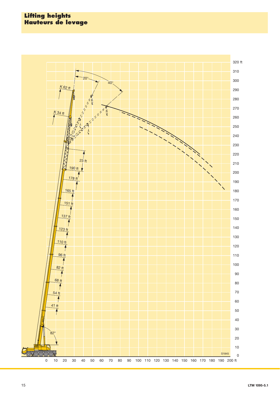### **Lifting heights Hauteurs de levage**

![](_page_14_Figure_1.jpeg)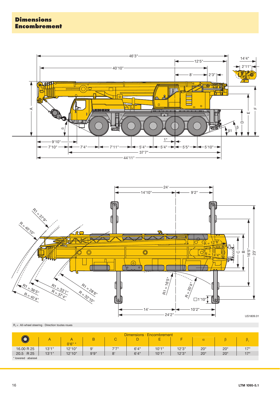![](_page_15_Figure_1.jpeg)

![](_page_15_Figure_2.jpeg)

![](_page_15_Figure_3.jpeg)

![](_page_15_Figure_4.jpeg)

|                     | Dimensions · Encombrement |          |       |       |       |        |        |              |              |              |
|---------------------|---------------------------|----------|-------|-------|-------|--------|--------|--------------|--------------|--------------|
|                     |                           | $0'6" *$ | B     |       |       | -<br>► |        | $\alpha$     |              |              |
| 16.00 R 25          | 13'1''                    | 12'10"   | 9'    | 7'7'' | 6'4'' | 10'1"  | 12'3'' | $20^{\circ}$ | $20^{\circ}$ | $17^{\circ}$ |
| 20.5 R 25           | 13'1"                     | 12'10''  | 9'9'' | 8'    | 6'4'' | 10'1"  | 12'3'' | $20^{\circ}$ | $20^{\circ}$ | 170          |
| * lowered · abaissé |                           |          |       |       |       |        |        |              |              |              |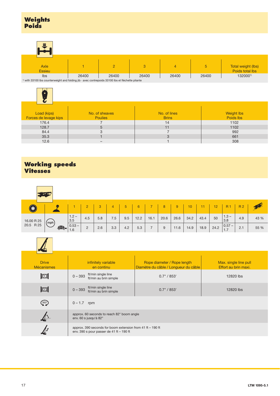| E                                                                                                        |  |   |   |   |                |                                       |  |  |
|----------------------------------------------------------------------------------------------------------|--|---|---|---|----------------|---------------------------------------|--|--|
| Axle<br><b>Essieu</b>                                                                                    |  | 2 | 3 | 4 | 5 <sub>1</sub> | Total weight (lbs)<br>Poids total lbs |  |  |
| 1320001)<br>26400<br>26400<br>26400<br>26400<br>26400<br>Ibs                                             |  |   |   |   |                |                                       |  |  |
| $1$ with 33100 lbs counterweight and folding jib $\cdot$ avec contrepoids 33100 lbs et fléchette pliante |  |   |   |   |                |                                       |  |  |

![](_page_16_Picture_2.jpeg)

| Load (kips)           | No. of sheaves | No. of lines | <b>Weight Ibs</b> |
|-----------------------|----------------|--------------|-------------------|
| Forces de levage kips | <b>Poulies</b> | <b>Brins</b> | Poids lbs         |
| 176.4                 |                | 14           | 1102              |
| 128.7                 |                | 11           | 1102              |
| 84.4                  |                |              | 992               |
| 35.3                  |                | ت            | 661               |
| 12.6                  |                |              | 308               |

## **Working speeds Vitesses**

| (◉)                     |               |                |               |     | $\overline{4}$ | 5   | 6    |      | 8    | 9    | 10   |      | 12 <sup>°</sup> | <b>R</b> <sub>1</sub> | <b>R2</b> |      |
|-------------------------|---------------|----------------|---------------|-----|----------------|-----|------|------|------|------|------|------|-----------------|-----------------------|-----------|------|
| 16.00 R 25<br>20.5 R 25 |               | $1.2 -$<br>3.5 | 4.5           | 5.8 | 7.5            | 9.5 | 12.2 | 16.1 | 20.6 | 26.6 | 34.2 | 43.4 | 50              | $1.3 -$<br>3.8        | 4.9       | 43 % |
|                         | (mph)<br>\$20 | $0.53 - 1.6$   | $\Omega$<br>ے | 2.6 | 3.3            | 4.2 | 5.3  |      | 9    | 11.6 | 14.9 | 18.9 | 24.2            | $ 0.57 -$<br>1.7      | 2.1       | 55 % |

| <b>Drive</b><br><b>Mécanismes</b> | infinitely variable<br>en continu                                                                          | Rope diameter / Rope length<br>Diamètre du câble / Longueur du câble | Max. single line pull<br>Effort au brin maxi. |  |  |  |
|-----------------------------------|------------------------------------------------------------------------------------------------------------|----------------------------------------------------------------------|-----------------------------------------------|--|--|--|
| $\mathbb{E}$                      | ft/min single line<br>$0 - 393$<br>ft/min au brin simple                                                   | 0.7" / 853'                                                          | 12820 lbs                                     |  |  |  |
| $\mathbb{Z}$                      | ft/min single line<br>$0 - 393$<br>ft/min au brin simple                                                   | 0.7" / 853'                                                          | 12820 lbs                                     |  |  |  |
| $360^\circ$                       | $0 - 1.7$ rpm                                                                                              |                                                                      |                                               |  |  |  |
|                                   | approx. 60 seconds to reach 82° boom angle<br>env. 60 s jusqu'à 82°                                        |                                                                      |                                               |  |  |  |
|                                   | approx. 390 seconds for boom extension from 41 ft $-$ 190 ft<br>env. 390 s pour passer de 41 ft $-$ 190 ft |                                                                      |                                               |  |  |  |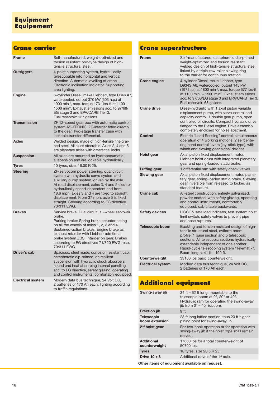## **Crane carrier**

| <b>Frame</b>             | Self-manufactured, weight-optimized and<br>torsion resistant box-type design of high-<br>tensile structural steel.                                                                                                                                                                                                                                                                          |
|--------------------------|---------------------------------------------------------------------------------------------------------------------------------------------------------------------------------------------------------------------------------------------------------------------------------------------------------------------------------------------------------------------------------------------|
| <b>Outriggers</b>        | 4-point supporting system, hydraulically<br>telescopable into horizontal and vertical<br>direction. Automatic levelling of crane.<br>Electronic inclination indicator. Supporting<br>area lighting.                                                                                                                                                                                         |
| <b>Engine</b>            | 6-cylinder Diesel, make Liebherr, type D846 A7,<br>watercooled, output 370 kW (503 h.p.) at<br>1900 min <sup>-1</sup> , max. torque 1731 lbs-ft at 1100 -<br>1500 min <sup>-1</sup> . Exhaust emissions acc. to 97/68/<br>EG stage 3 and EPA/CARB Tier 3.<br>Fuel reservoir: 127 gallons.                                                                                                   |
| <b>Transmission</b>      | ZF 12-speed gear box with automatic control<br>system AS-TRONIC. ZF-intarder fitted directly<br>to the gear. Two-stage transfer case with<br>lockable transfer differential.                                                                                                                                                                                                                |
| Axles                    | Welded design, made of high-tensile fine grai-<br>ned steel. All axles steerable. Axles 2, 4 and 5<br>are planetary axles with differential locks.                                                                                                                                                                                                                                          |
| <b>Suspension</b>        | All axles are mounted on hydropneumatic<br>suspension and are lockable hydraulically.                                                                                                                                                                                                                                                                                                       |
| <b>Tyres</b>             | 10 tyres, size: 16.00 R 25.                                                                                                                                                                                                                                                                                                                                                                 |
| <b>Steering</b>          | ZF-servocom power steering, dual circuit<br>system with hydraulic servo system and<br>auxiliary pump system, driven by the axle.<br>At road displacement, axles 3, 4 and 5 electro-<br>hydraulically speed-dependent and from<br>18.6 mph, axles 3 and 4 are fixed to straight<br>displacement. From 37 mph, axle 5 is fixed<br>straight. Steering according to EG directive<br>70/311 EWG. |
| <b>Brakes</b>            | Service brake: Dual circuit, all-wheel servo-air<br>brake.<br>Parking brake: Spring brake actuator acting<br>on all the wheels of axles 1, 2, 3 and 4.<br>Sustained-action brakes: Engine brake as<br>exhaust retarder with Liebherr additional<br>brake system ZBS. Intarder on gear. Brakes<br>according to EG directives 71/320 EWG resp.<br>70/311 EWG.                                 |
| Driver's cab             | Spacious, steel made, corrosion resistant cab,<br>cataphoretic dip-primed, on resilient<br>suspension with hydraulic shock absorbers,<br>sound and heat absorbing internal panelling<br>acc. to EG directive, safety glazing, operating<br>and control instruments, comfortably equipped.                                                                                                   |
| <b>Electrical system</b> | Modern data bus technique, 24 Volt DC,<br>2 batteries of 170 Ah each, lighting according<br>to traffic regulations.                                                                                                                                                                                                                                                                         |

## **Crane superstructure**

| <b>Frame</b>             | Self-manufactured, cataphoretic dip-primed<br>weight-optimized and torsion resistant<br>welded design of high-tensile structural steel;<br>linked by a triple-row roller slewing ring<br>to the carrier for continuous rotation.                                                                                 |
|--------------------------|------------------------------------------------------------------------------------------------------------------------------------------------------------------------------------------------------------------------------------------------------------------------------------------------------------------|
| <b>Crane engine</b>      | 4-cylinder Diesel, make Liebherr, type<br>D934S A6, watercooled, output 145 kW<br>(197 h.p.) at 1800 min <sup>-1</sup> , max. torque 677 lbs-ft<br>at 1100 min <sup>-1</sup> – 1500 min <sup>-1</sup> . Exhaust emissions<br>acc. to 97/68/EG stage 3 and EPA/CARB Tier 3.<br>Fuel reservoir: 68 gallons.        |
| <b>Crane drive</b>       | Diesel-hydraulic with 1 axial piston variable<br>displacement pump, with servo-control and<br>capacity control. 1 double gear pump, open<br>controlled oil circuits. Compact hydraulic drive<br>flanged to the Diesel engine. Drive assembly<br>completely enclosed for noise abatment.                          |
| Control                  | Electric "Load Sensing" control, simultaneous<br>operation of 4 working motions, 2 selfcente-<br>ring hand control levers (joy-stick type), with<br>winch and slewing gear signal devices.                                                                                                                       |
| Hoist gear               | Axial piston fixed displacement motor,<br>Liebherr hoist drum with integrated planetary<br>gear and spring-loaded static brake.                                                                                                                                                                                  |
| Luffing gear             | 1 differential ram with safety check valves.                                                                                                                                                                                                                                                                     |
| Slewing gear             | Axial piston fixed displacement motor, plane-<br>tary gear, spring-loaded static brake. Slewing<br>gear inversible from released to locked as<br>standard feature.                                                                                                                                               |
| Crane cab                | All-steel construction, entirely galvanized,<br>powder coated, with safety glazing, operating<br>and control instruments, comfortably<br>equipped, cab tiltable backwards.                                                                                                                                       |
| <b>Safety devices</b>    | LICCON safe load indicator, test system hoist<br>limit switch, safety valves to prevent pipe<br>and hose ruptures.                                                                                                                                                                                               |
| <b>Telescopic boom</b>   | Buckling and torsion resistant design of high-<br>tensile structural steel, oviform boom<br>profile. 1 base section and 5 telescopic<br>sections. All telescopic sections hydraulically<br>extendable independent of one another.<br>Rapid-cycle telescoping system "Telematik".<br>Boom length: 41 ft - 190 ft. |
| Counterweight            | 33100 lbs basic counterweight.                                                                                                                                                                                                                                                                                   |
| <b>Electrical system</b> | Modern data bus technique, 24 Volt DC,<br>2 batteries of 170 Ah each.                                                                                                                                                                                                                                            |

# **Additional equipment**

| Swing-away jib                      | 34 ft – 62 ft long, mountable to the<br>telescopic boom at 0°, 20° or 40°.<br>Hydraulic ram for operating the swing-away<br>jib from $0^\circ - 40^\circ$ (option). |
|-------------------------------------|---------------------------------------------------------------------------------------------------------------------------------------------------------------------|
| <b>Erection jib</b>                 | 9 <sub>ft</sub>                                                                                                                                                     |
| <b>Telescopic</b><br>boom extension | 23 ft long lattice section, thus 23 ft higher<br>pining point for swing-away jib.                                                                                   |
| 2 <sup>nd</sup> hoist gear          | For two-hook operation or for operation with<br>swing-away jib if the hoist rope shall remain<br>reeved.                                                            |
| <b>Additional</b><br>counterweight  | 17600 lbs for a total counterweight of<br>50700 lbs.                                                                                                                |
| <b>Tyres</b>                        | 10 tyres, size 20.5 R 25.                                                                                                                                           |
| Drive $10 \times 8$                 | Additional drive of the 1 <sup>st</sup> axle.                                                                                                                       |
|                                     |                                                                                                                                                                     |

**Other items of equipment available on request.**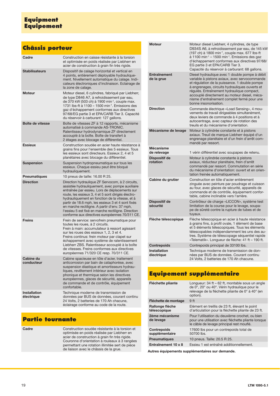## **Equipment Equipement**

## **Châssis porteur**

| Cadre                             | Construction en caisse résistante à la torsion<br>et optimisée en poids réalisée par Liebherr en<br>acier de construction à grain fin très rigide.                                                                                                                                                                                                                                                                                                                            |
|-----------------------------------|-------------------------------------------------------------------------------------------------------------------------------------------------------------------------------------------------------------------------------------------------------------------------------------------------------------------------------------------------------------------------------------------------------------------------------------------------------------------------------|
| <b>Stabilisateurs</b>             | Dispositif de calage horizontal et vertical en<br>4 points, entièrement déployable hydraulique-<br>ment. Nivellement automatique du calage. Indi-<br>cateurs électroniques d'inclinaison. Eclairage de<br>la zone de calage.                                                                                                                                                                                                                                                  |
| Moteur                            | Moteur diesel, 6 cylindres, fabriqué par Liebherr,<br>de type D846 A7, à refroidissement par eau,<br>de 370 kW (503 ch) à 1900 min <sup>-1</sup> , couple max.<br>1731 lbs-ft à 1100 - 1500 min <sup>-1</sup> . Emissions des<br>gaz d'échappement conformes aux directives<br>97/68/EG partie 3 et EPA/CARB Tier 3. Capacité<br>du réservoir à carburant: 127 gallons.                                                                                                       |
| Boîte de vitesse                  | Boîte de vitesses ZF à 12 rapports, mécanisme<br>automatisé à commande AS-TRONIC.<br>Ralentisseur hydrodynamique ZF directement<br>accouplé à la boîte. Boîte de transfert à<br>2 étages avec blocage de différentiel.                                                                                                                                                                                                                                                        |
| <b>Essieux</b>                    | Construction soudée en acier haute résistance à<br>grains fins pour l'ensemble des 5 essieux. Tous<br>les essieux sont directeurs. Essieux 2, 4 et 5<br>planétaires avec blocage du différentiel.                                                                                                                                                                                                                                                                             |
| <b>Suspension</b>                 | Suspension hydropneumatique sur tous les<br>essieux. Chaque essieu peut être bloqué<br>hydrauliquement.                                                                                                                                                                                                                                                                                                                                                                       |
| <b>Pneumatiques</b>               | 10 pneus de taille: 16.00 R 25.                                                                                                                                                                                                                                                                                                                                                                                                                                               |
| <b>Direction</b>                  | Direction hydraulique ZF Servocom, à 2 circuits,<br>assistée hydrauliquement, avec pompe auxiliaire<br>entraînée par essieu. Lors de déplacements sur<br>route, les essieux 3, 4 et 5 sont dirigés électro-<br>hydrauliquement en fonction de la vitesse, et à<br>partir de 18.6 mph, les essieux 3 et 4 sont fixés<br>en marche rectiligne. A partir d'env. 37 mph,<br>l'essieu 5 est fixé en marche rectiligne. Direction<br>conforme aux directives européennes 70/311 CE. |
| <b>Freins</b>                     | Frein de service: servofrein pneumatique pour<br>toutes les roues, à 2 circuits.<br>Frein à main: accumulateur à ressort agissant<br>sur les roues des essieux 1, 2, 3 et 4.<br>Freins continus: frein moteur par clapet sur<br>échappement avec système de ralentissement<br>Liebherr ZBS. Ralentisseur accouplé à la boîte<br>de vitesses. Freins conformes aux directives<br>européennes 71/320 CE resp. 70/311 CE.                                                        |
| <b>Cabine du</b><br>conducteur    | Cabine spacieuse en tôle d'acier, traitement<br>anticorrosion par bain de cataphorèse, avec<br>suspension élastique et amortisseurs hydrau-<br>liques, revêtement intérieur avec isolation<br>phonique et thermique selon les directives<br>européennes, glaces de sécurité, appareils<br>de commande et de contrôle, équipement<br>confortable.                                                                                                                              |
| <b>Installation</b><br>électrique | Technique moderne de transmission de<br>données par BUS de données, courant continu<br>24 Volts, 2 batteries de 170 Ah chacune,<br>éclairage conforme au code de la route.                                                                                                                                                                                                                                                                                                    |

# **Partie tournante**

| Cadre | Construction soudée résistante à la torsion et<br>optimisée en poids réalisée par Liebherr en<br>acier de construction à grain fin très rigide.<br>Couronne d'orientation à rouleaux à 3 rangées<br>permettant une rotation illimitée sert de pièce<br>de liaison avec le châssis de la grue. |
|-------|-----------------------------------------------------------------------------------------------------------------------------------------------------------------------------------------------------------------------------------------------------------------------------------------------|
|       |                                                                                                                                                                                                                                                                                               |

| Moteur                            | Moteur diesel Liebherr, 4 cylindres, de type<br>D934S A6, à refroidissement par eau, de 145 kW<br>(197 ch) à 1800 min <sup>-1</sup> , couple max. 677 lbs-ft<br>$\dot{a}$ 1100 min <sup>-1</sup> – 1500 min <sup>-1</sup> . Emissions des gaz<br>d'échappement conformes aux directives 97/68/<br>EG partie 3 et EPA/CARB Tier 3.<br>Capacité du réservoir à carburant: 68 gallons. |
|-----------------------------------|-------------------------------------------------------------------------------------------------------------------------------------------------------------------------------------------------------------------------------------------------------------------------------------------------------------------------------------------------------------------------------------|
| <b>Entraînement</b><br>de la grue | Diesel hydraulique avec 1 double pompe à débit<br>variable à pistons axiaux, avec servocommande<br>et régulation de la puissance. 1 double pompe<br>à engrenages, circuits hydrauliques ouverts et<br>régulés. Entraînement hydraulique compact,<br>accouplé directement au moteur diesel, méca-<br>nisme d'entraînement complet fermé pour une<br>bonne insonorisation.            |
| <b>Direction</b>                  | Commande électrique «Load Sensing», 4 mou-<br>vements de travail dirigeables simultanément,<br>deux leviers de commande à 4 positions et à<br>autocentrage, avec capteur de rotation des<br>treuils et du mécanisme d'orientation.                                                                                                                                                  |
| Mécanisme de levage               | Moteur à cylindrée constante et à pistons<br>axiaux. Treuil de marque Liebherr équipé d'un<br>engrenage planétaire et d'un frein d'arrêt com-<br>mandé par ressort.                                                                                                                                                                                                                 |
| <b>Mécanisme</b><br>de relevage   | 1 vérin différentiel avec soupapes de retenu.                                                                                                                                                                                                                                                                                                                                       |
| <b>Dispositif de</b><br>rotation  | Moteur à cylindrée constante à pistons<br>axiaux, réducteur planétaire, frein d'arrêt<br>commandé par ressort. Commutation en série<br>du mécanisme d'orientation: ouvert et en orien-<br>tation freinée automatiquement.                                                                                                                                                           |
| Cabine du grutier                 | Construction en tôle d'acier entièrement<br>zinguée avec peinture par poudrage et cuisson<br>au four, avec glaces de sécurité, appareils de<br>commande et de contrôle, équipement confor-<br>table, cabine inclinable vers l'arrière.                                                                                                                                              |
| Dispositif de<br>sécurité         | Contrôleur de charge «LICCON», système test<br>limitation de la course pour le levage, soupa-<br>pe de sûreté contre la rupture de tubes et de<br>tuyaux.                                                                                                                                                                                                                           |
| Flèche télescopique               | Flèche télescopique en acier à haute résistance<br>à grains fins, à profil ovale, 1 élément de base<br>et 5 éléments télescopiques. Tous les éléments<br>télescopables indépendamment les uns des au-<br>tres. Système de télescopage séquentiel rapide<br>«Telematik». Longueur de flèche: 41 ft - 190 ft.                                                                         |
| <b>Contrepoids</b>                | Contrepoids principal de 33100 lbs.                                                                                                                                                                                                                                                                                                                                                 |
| Installation<br>électrique        | Technique moderne de transmission de don-<br>nées par BUS de données. Courant continu<br>24 Volts, 2 batteries de 170 Ah chacune.                                                                                                                                                                                                                                                   |

# **Equipement supplémentaire**

| Fléchette pliante                    | Longueur: 34 ft - 62 ft, montable sous un angle<br>de 0°, 20° ou 40°. Vérin hydraulique pour le<br>relevage de la fléchette pliante de 0° à 40° (en<br>option). |
|--------------------------------------|-----------------------------------------------------------------------------------------------------------------------------------------------------------------|
| Fléchette de montage                 | 9 <sub>ft</sub>                                                                                                                                                 |
| Rallonge flèche<br>télescopique      | Elément en treillis de 23 ft, élevant le point<br>d'articulation pour la fléchette pliante de 23 ft.                                                            |
| 2ème mécanisme<br>de levage          | Pour l'utilisation du deuxième crochet, ou bien<br>pour une utilisation avec fléchette pliante lorsque<br>le câble de levage principal rest mouflé.             |
| <b>Contrepoids</b><br>supplémentaire | 17600 lbs pour un contrepoids total de<br>50700 lbs.                                                                                                            |
| <b>Pneumatiques</b>                  | 10 pneus. Taille: 20.5 R 25.                                                                                                                                    |
| Entraînement 10 x 8                  | Essieu 1 est entraîné additionnellement.                                                                                                                        |
|                                      |                                                                                                                                                                 |

**Autres équipements supplémentaires sur demande.**